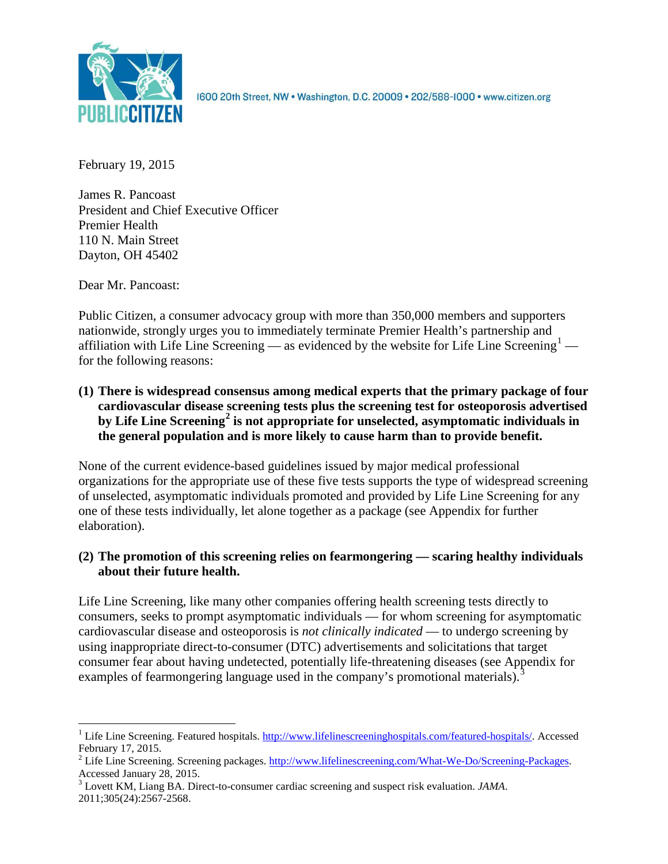

1600 20th Street, NW . Washington, D.C. 20009 . 202/588-1000 . www.citizen.org

February 19, 2015

James R. Pancoast President and Chief Executive Officer Premier Health 110 N. Main Street Dayton, OH 45402

Dear Mr. Pancoast:

Public Citizen, a consumer advocacy group with more than 350,000 members and supporters nationwide, strongly urges you to immediately terminate Premier Health's partnership and affiliation with Life Line Screening — as evidenced by the website for Life Line Screening<sup>[1](#page-0-0)</sup> for the following reasons:

**(1) There is widespread consensus among medical experts that the primary package of four cardiovascular disease screening tests plus the screening test for osteoporosis advertised by Life Line Screening[2](#page-0-1) is not appropriate for unselected, asymptomatic individuals in the general population and is more likely to cause harm than to provide benefit.**

None of the current evidence-based guidelines issued by major medical professional organizations for the appropriate use of these five tests supports the type of widespread screening of unselected, asymptomatic individuals promoted and provided by Life Line Screening for any one of these tests individually, let alone together as a package (see Appendix for further elaboration).

# **(2) The promotion of this screening relies on fearmongering — scaring healthy individuals about their future health.**

Life Line Screening, like many other companies offering health screening tests directly to consumers, seeks to prompt asymptomatic individuals — for whom screening for asymptomatic cardiovascular disease and osteoporosis is *not clinically indicated* — to undergo screening by using inappropriate direct-to-consumer (DTC) advertisements and solicitations that target consumer fear about having undetected, potentially life-threatening diseases (see Appendix for examples of fearmongering language used in the company's promotional materials).<sup>[3](#page-0-2)</sup>

<span id="page-0-0"></span><sup>&</sup>lt;sup>1</sup> Life Line Screening. Featured hospitals. [http://www.lifelinescreeninghospitals.com/featured-hospitals/.](http://www.lifelinescreeninghospitals.com/featured-hospitals/) Accessed

<span id="page-0-1"></span>February 17, 2015.<br><sup>2</sup> Life Line Screening. Screening packages. [http://www.lifelinescreening.com/What-We-Do/Screening-Packages.](http://www.lifelinescreening.com/What-We-Do/Screening-Packages)<br>Accessed January 28, 2015.

<span id="page-0-2"></span><sup>&</sup>lt;sup>3</sup> Lovett KM, Liang BA. Direct-to-consumer cardiac screening and suspect risk evaluation. *JAMA*. 2011;305(24):2567-2568.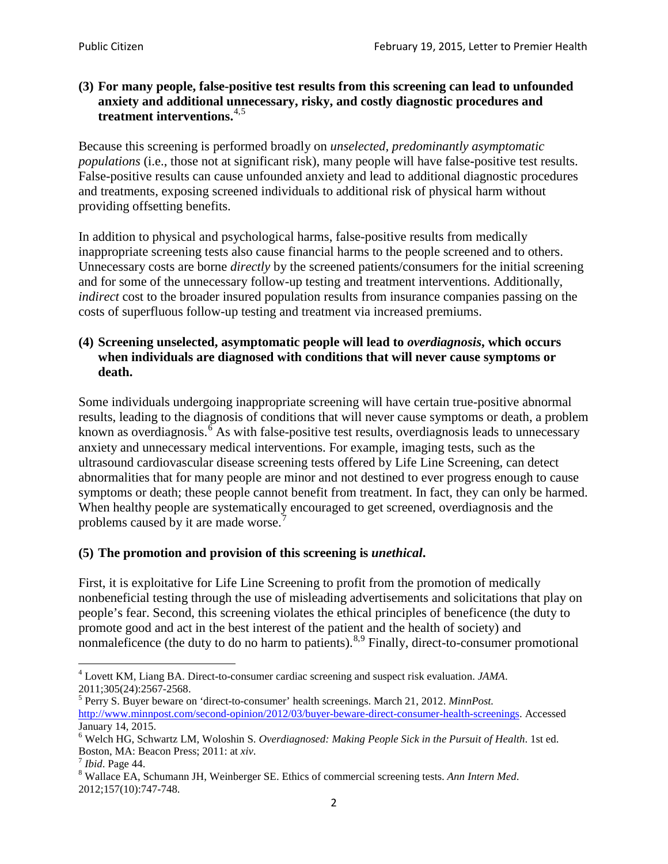### **(3) For many people, false-positive test results from this screening can lead to unfounded anxiety and additional unnecessary, risky, and costly diagnostic procedures and treatment interventions.**[4](#page-1-0),[5](#page-1-1)

Because this screening is performed broadly on *unselected, predominantly asymptomatic populations* (i.e., those not at significant risk), many people will have false**-**positive test results. False-positive results can cause unfounded anxiety and lead to additional diagnostic procedures and treatments, exposing screened individuals to additional risk of physical harm without providing offsetting benefits.

In addition to physical and psychological harms, false-positive results from medically inappropriate screening tests also cause financial harms to the people screened and to others. Unnecessary costs are borne *directly* by the screened patients/consumers for the initial screening and for some of the unnecessary follow-up testing and treatment interventions. Additionally, *indirect* cost to the broader insured population results from insurance companies passing on the costs of superfluous follow-up testing and treatment via increased premiums.

### **(4) Screening unselected, asymptomatic people will lead to** *overdiagnosis***, which occurs when individuals are diagnosed with conditions that will never cause symptoms or death.**

Some individuals undergoing inappropriate screening will have certain true-positive abnormal results, leading to the diagnosis of conditions that will never cause symptoms or death, a problem known as overdiagnosis.<sup>[6](#page-1-2)</sup> As with false-positive test results, overdiagnosis leads to unnecessary anxiety and unnecessary medical interventions. For example, imaging tests, such as the ultrasound cardiovascular disease screening tests offered by Life Line Screening, can detect abnormalities that for many people are minor and not destined to ever progress enough to cause symptoms or death; these people cannot benefit from treatment. In fact, they can only be harmed. When healthy people are systematically encouraged to get screened, overdiagnosis and the problems caused by it are made worse.<sup>[7](#page-1-3)</sup>

## **(5) The promotion and provision of this screening is** *unethical***.**

First, it is exploitative for Life Line Screening to profit from the promotion of medically nonbeneficial testing through the use of misleading advertisements and solicitations that play on people's fear. Second, this screening violates the ethical principles of beneficence (the duty to promote good and act in the best interest of the patient and the health of society) and nonmaleficence (the duty to do no harm to patients).<sup>[8](#page-1-4),[9](#page-1-5)</sup> Finally, direct-to-consumer promotional

<span id="page-1-4"></span>2012;157(10):747-748.

<span id="page-1-5"></span><span id="page-1-0"></span><sup>4</sup> Lovett KM, Liang BA. Direct-to-consumer cardiac screening and suspect risk evaluation. *JAMA*.

<span id="page-1-1"></span><sup>2011;305(24):2567-2568.</sup> <sup>5</sup> Perry S. Buyer beware on 'direct-to-consumer' health screenings. March 21, 2012. *MinnPost.*  [http://www.minnpost.com/second-opinion/2012/03/buyer-beware-direct-consumer-health-screenings.](http://www.minnpost.com/second-opinion/2012/03/buyer-beware-direct-consumer-health-screenings) Accessed January 14, 2015.

<span id="page-1-2"></span><sup>6</sup> Welch HG, Schwartz LM, Woloshin S. *Overdiagnosed: Making People Sick in the Pursuit of Health*. 1st ed. Boston, MA: Beacon Press; 2011: at *xiv*.<br><sup>7</sup> *Ibid*. Page 44.<br><sup>8</sup> Wallace EA, Schumann JH, Weinberger SE. Ethics of commercial screening tests. *Ann Intern Med*.

<span id="page-1-3"></span>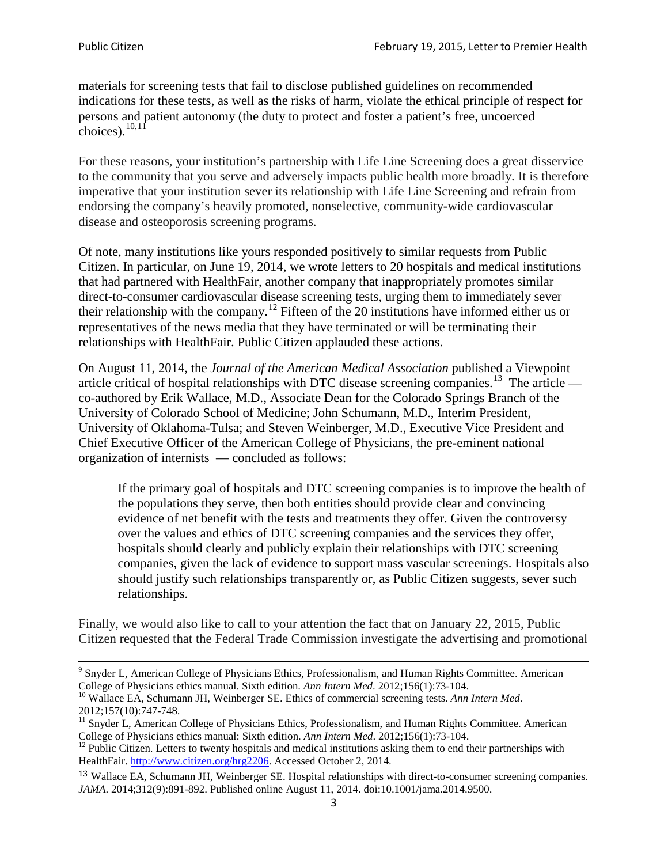materials for screening tests that fail to disclose published guidelines on recommended indications for these tests, as well as the risks of harm, violate the ethical principle of respect for persons and patient autonomy (the duty to protect and foster a patient's free, uncoerced choices). $\frac{10,11}{10,11}$  $\frac{10,11}{10,11}$  $\frac{10,11}{10,11}$  $\frac{10,11}{10,11}$ 

For these reasons, your institution's partnership with Life Line Screening does a great disservice to the community that you serve and adversely impacts public health more broadly. It is therefore imperative that your institution sever its relationship with Life Line Screening and refrain from endorsing the company's heavily promoted, nonselective, community**-**wide cardiovascular disease and osteoporosis screening programs.

Of note, many institutions like yours responded positively to similar requests from Public Citizen. In particular, on June 19, 2014, we wrote letters to 20 hospitals and medical institutions that had partnered with HealthFair, another company that inappropriately promotes similar direct-to-consumer cardiovascular disease screening tests, urging them to immediately sever their relationship with the company. [12](#page-2-2) Fifteen of the 20 institutions have informed either us or representatives of the news media that they have terminated or will be terminating their relationships with HealthFair. Public Citizen applauded these actions.

On August 11, 2014, the *Journal of the American Medical Association* published a Viewpoint article critical of hospital relationships with DTC disease screening companies.<sup>13</sup> The article co-authored by Erik Wallace, M.D., Associate Dean for the Colorado Springs Branch of the University of Colorado School of Medicine; John Schumann, M.D., Interim President, University of Oklahoma-Tulsa; and Steven Weinberger, M.D., Executive Vice President and Chief Executive Officer of the American College of Physicians, the pre**-**eminent national organization of internists — concluded as follows:

If the primary goal of hospitals and DTC screening companies is to improve the health of the populations they serve, then both entities should provide clear and convincing evidence of net benefit with the tests and treatments they offer. Given the controversy over the values and ethics of DTC screening companies and the services they offer, hospitals should clearly and publicly explain their relationships with DTC screening companies, given the lack of evidence to support mass vascular screenings. Hospitals also should justify such relationships transparently or, as Public Citizen suggests, sever such relationships.

Finally, we would also like to call to your attention the fact that on January 22, 2015, Public Citizen requested that the Federal Trade Commission investigate the advertising and promotional

<sup>&</sup>lt;sup>9</sup> Snyder L, American College of Physicians Ethics, Professionalism, and Human Rights Committee. American College of Physicians ethics manual. Sixth edition. Ann Intern Med. 2012;156(1):73-104.

<span id="page-2-0"></span><sup>&</sup>lt;sup>10</sup> Wallace EA, Schumann JH, Weinberger SE. Ethics of commercial screening tests. *Ann Intern Med*. 2012;157(10):747-748.

<span id="page-2-1"></span> $11$  Snyder L, American College of Physicians Ethics, Professionalism, and Human Rights Committee. American College of Physicians ethics manual: Sixth edition. *Ann Intern Med*. 2012;156(1):73-104.<br><sup>12</sup> Public Citizen. Letters to twenty hospitals and medical institutions asking them to end their partnerships with

<span id="page-2-2"></span>HealthFair. [http://www.citizen.org/hrg2206.](http://www.citizen.org/hrg2206) Accessed October 2, 2014.

<span id="page-2-3"></span><sup>13</sup> Wallace EA, Schumann JH, Weinberger SE. Hospital relationships with direct-to-consumer screening companies. *JAMA*. 2014;312(9):891-892. Published online August 11, 2014. doi:10.1001/jama.2014.9500.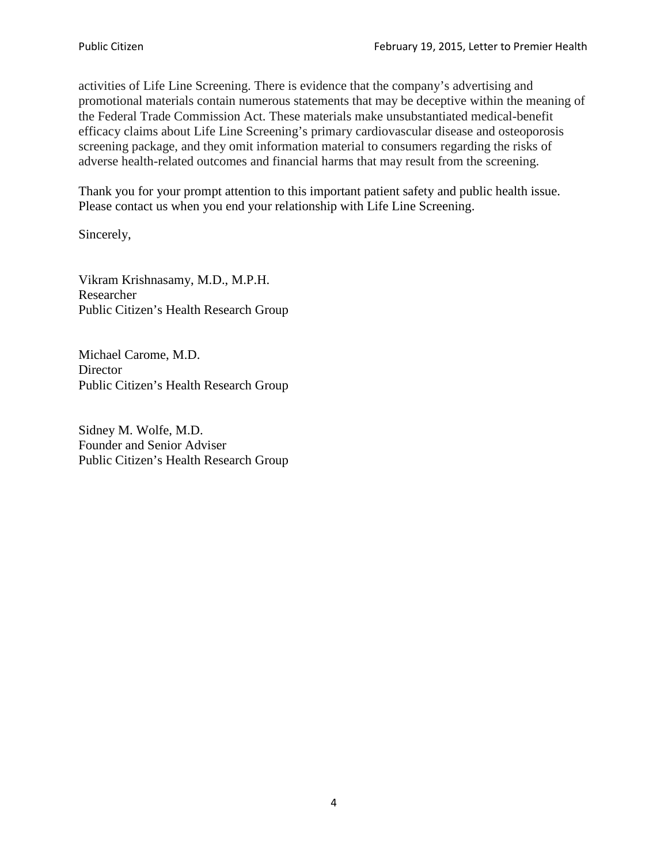activities of Life Line Screening. There is evidence that the company's advertising and promotional materials contain numerous statements that may be deceptive within the meaning of the Federal Trade Commission Act. These materials make unsubstantiated medical-benefit efficacy claims about Life Line Screening's primary cardiovascular disease and osteoporosis screening package, and they omit information material to consumers regarding the risks of adverse health-related outcomes and financial harms that may result from the screening.

Thank you for your prompt attention to this important patient safety and public health issue. Please contact us when you end your relationship with Life Line Screening.

Sincerely,

Vikram Krishnasamy, M.D., M.P.H. Researcher Public Citizen's Health Research Group

Michael Carome, M.D. **Director** Public Citizen's Health Research Group

Sidney M. Wolfe, M.D. Founder and Senior Adviser Public Citizen's Health Research Group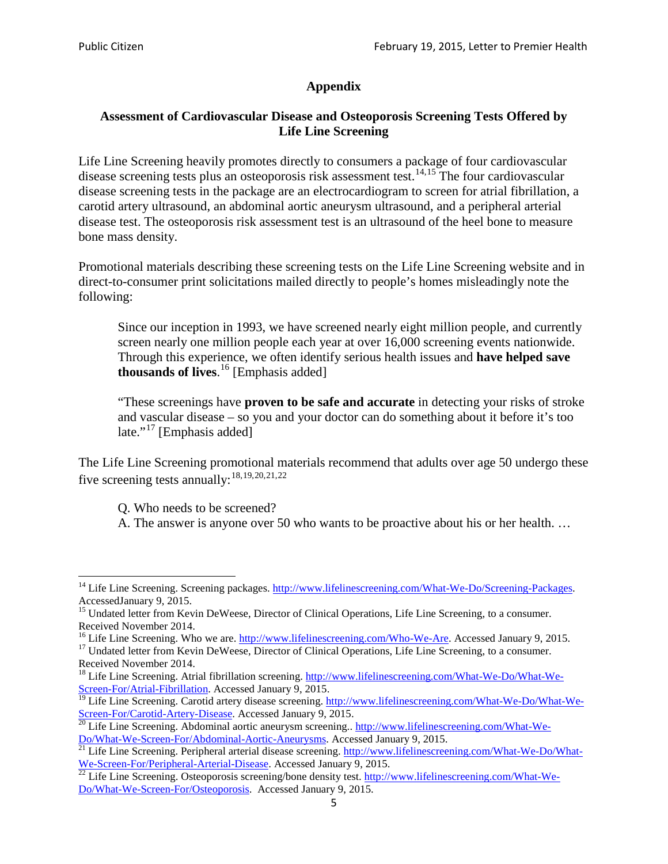## **Appendix**

## **Assessment of Cardiovascular Disease and Osteoporosis Screening Tests Offered by Life Line Screening**

Life Line Screening heavily promotes directly to consumers a package of four cardiovascular disease screening tests plus an osteoporosis risk assessment test.<sup>[14](#page-4-0),[15](#page-4-1)</sup> The four cardiovascular disease screening tests in the package are an electrocardiogram to screen for atrial fibrillation, a carotid artery ultrasound, an abdominal aortic aneurysm ultrasound, and a peripheral arterial disease test. The osteoporosis risk assessment test is an ultrasound of the heel bone to measure bone mass density.

Promotional materials describing these screening tests on the Life Line Screening website and in direct-to-consumer print solicitations mailed directly to people's homes misleadingly note the following:

Since our inception in 1993, we have screened nearly eight million people, and currently screen nearly one million people each year at over 16,000 screening events nationwide. Through this experience, we often identify serious health issues and **have helped save thousands of lives**. [16](#page-4-2) [Emphasis added]

"These screenings have **proven to be safe and accurate** in detecting your risks of stroke and vascular disease – so you and your doctor can do something about it before it's too late."<sup>[17](#page-4-3)</sup> [Emphasis added]

The Life Line Screening promotional materials recommend that adults over age 50 undergo these five screening tests annually:<sup>[18](#page-4-4),[19,](#page-4-5)[20,](#page-4-6)[21](#page-4-7),[22](#page-4-8)</sup>

Q. Who needs to be screened?

A. The answer is anyone over 50 who wants to be proactive about his or her health. …

<span id="page-4-0"></span><sup>&</sup>lt;sup>14</sup> Life Line Screening. Screening packages. [http://www.lifelinescreening.com/What-We-Do/Screening-Packages.](http://www.lifelinescreening.com/What-We-Do/Screening-Packages) AccessedJanuary 9, 2015.

<span id="page-4-1"></span><sup>&</sup>lt;sup>15</sup> Undated letter from Kevin DeWeese, Director of Clinical Operations, Life Line Screening, to a consumer.

Received November 2014.<br><sup>16</sup> Life Line Screening. Who we are. http://www.lifelinescreening.com/Who-We-Are. Accessed January 9, 2015.

<span id="page-4-3"></span><span id="page-4-2"></span><sup>&</sup>lt;sup>17</sup> Undated letter from Kevin DeWeese, Director of Clinical Operations, Life Line Screening, to a consumer. Received November 2014.

<span id="page-4-4"></span><sup>&</sup>lt;sup>18</sup> Life Line Screening. Atrial fibrillation screening. [http://www.lifelinescreening.com/What-We-Do/What-We-](http://www.lifelinescreening.com/What-We-Do/What-We-Screen-For/Atrial-Fibrillation)[Screen-For/Atrial-Fibrillation.](http://www.lifelinescreening.com/What-We-Do/What-We-Screen-For/Atrial-Fibrillation) Accessed January 9, 2015.

<sup>&</sup>lt;sup>19</sup> Life Line Screening. Carotid artery disease screening. [http://www.lifelinescreening.com/What-We-Do/What-We-](http://www.lifelinescreening.com/What-We-Do/What-We-Screen-For/Carotid-Artery-Disease)

<span id="page-4-6"></span><span id="page-4-5"></span>[Screen-For/Carotid-Artery-Disease.](http://www.lifelinescreening.com/What-We-Do/What-We-Screen-For/Carotid-Artery-Disease) Accessed January 9, 2015.<br><sup>20</sup> Life Line Screening. Abdominal aortic aneurysm screening.. http://www.lifelinescreening.com/What-We-Do/What-We-Do/What-We-Screen-For/Abdominal-Aortic-Aneury

<span id="page-4-7"></span><sup>&</sup>lt;sup>21</sup> Life Line Screening. Peripheral arterial disease screening. [http://www.lifelinescreening.com/What-We-Do/What-](http://www.lifelinescreening.com/What-We-Do/What-We-Screen-For/Peripheral-Arterial-Disease)

<span id="page-4-8"></span>[We-Screen-For/Peripheral-Arterial-Disease.](http://www.lifelinescreening.com/What-We-Do/What-We-Screen-For/Peripheral-Arterial-Disease) Accessed January 9, 2015.<br><sup>22</sup> Life Line Screening. Osteoporosis screening/bone density test. [http://www.lifelinescreening.com/What-We-](http://www.lifelinescreening.com/What-We-Do/What-We-Screen-For/Osteoporosis)[Do/What-We-Screen-For/Osteoporosis.](http://www.lifelinescreening.com/What-We-Do/What-We-Screen-For/Osteoporosis) Accessed January 9, 2015.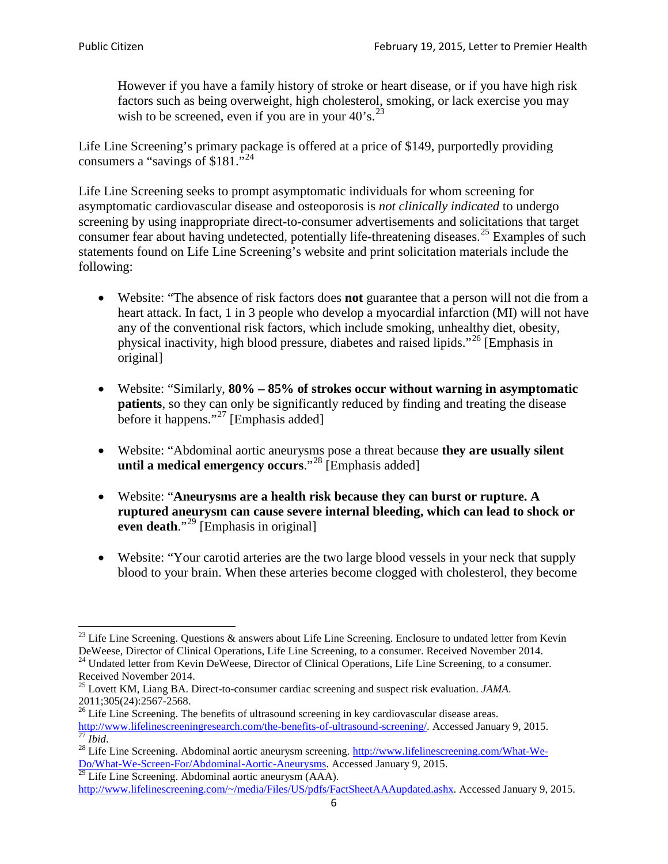However if you have a family history of stroke or heart disease, or if you have high risk factors such as being overweight, high cholesterol, smoking, or lack exercise you may wish to be screened, even if you are in your  $40^{\circ}$ s.<sup>[23](#page-5-0)</sup>

Life Line Screening's primary package is offered at a price of \$149, purportedly providing consumers a "savings of \$181."[24](#page-5-1)

Life Line Screening seeks to prompt asymptomatic individuals for whom screening for asymptomatic cardiovascular disease and osteoporosis is *not clinically indicated* to undergo screening by using inappropriate direct-to-consumer advertisements and solicitations that target consumer fear about having undetected, potentially life-threatening diseases.<sup>[25](#page-5-2)</sup> Examples of such statements found on Life Line Screening's website and print solicitation materials include the following:

- Website: "The absence of risk factors does **not** guarantee that a person will not die from a heart attack. In fact, 1 in 3 people who develop a myocardial infarction (MI) will not have any of the conventional risk factors, which include smoking, unhealthy diet, obesity, physical inactivity, high blood pressure, diabetes and raised lipids."[26](#page-5-3) [Emphasis in original]
- Website: "Similarly, **80% – 85% of strokes occur without warning in asymptomatic patients**, so they can only be significantly reduced by finding and treating the disease before it happens."<sup>[27](#page-5-4)</sup> [Emphasis added]
- Website: "Abdominal aortic aneurysms pose a threat because **they are usually silent until a medical emergency occurs**."[28](#page-5-5) [Emphasis added]
- Website: "**Aneurysms are a health risk because they can burst or rupture. A ruptured aneurysm can cause severe internal bleeding, which can lead to shock or even death.**"<sup>[29](#page-5-6)</sup> [Emphasis in original]
- Website: "Your carotid arteries are the two large blood vessels in your neck that supply blood to your brain. When these arteries become clogged with cholesterol, they become

<span id="page-5-0"></span><sup>&</sup>lt;sup>23</sup> Life Line Screening. Questions  $\&$  answers about Life Line Screening. Enclosure to undated letter from Kevin DeWeese, Director of Clinical Operations, Life Line Screening, to a consumer. Received November 2014.

<span id="page-5-1"></span><sup>&</sup>lt;sup>24</sup> Undated letter from Kevin DeWeese, Director of Clinical Operations, Life Line Screening, to a consumer. Received November 2014.

<span id="page-5-2"></span><sup>25</sup> Lovett KM, Liang BA. Direct-to-consumer cardiac screening and suspect risk evaluation. *JAMA*.  $2011;305(24):2567-2568$ .<br><sup>26</sup> Life Line Screening. The benefits of ultrasound screening in key cardiovascular disease areas.

<span id="page-5-3"></span>[http://www.lifelinescreeningresearch.com/the-benefits-of-ultrasound-screening/.](http://www.lifelinescreeningresearch.com/the-benefits-of-ultrasound-screening/) Accessed January 9, 2015.<br><sup>28</sup> Life Line Screening. Abdominal aortic aneurysm screening. http://www.lifelinescreening.com/What-We-<sup>28</sup>

<span id="page-5-5"></span><span id="page-5-4"></span>[Do/What-We-Screen-For/Abdominal-Aortic-Aneurysms.](http://www.lifelinescreening.com/What-We-Do/What-We-Screen-For/Abdominal-Aortic-Aneurysms) Accessed January 9, 2015. <sup>29</sup> Life Line Screening. Abdominal aortic aneurysm (AAA).

<span id="page-5-6"></span>[http://www.lifelinescreening.com/~/media/Files/US/pdfs/FactSheetAAAupdated.ashx.](http://www.lifelinescreening.com/~/media/Files/US/pdfs/FactSheetAAAupdated.ashx) Accessed January 9, 2015.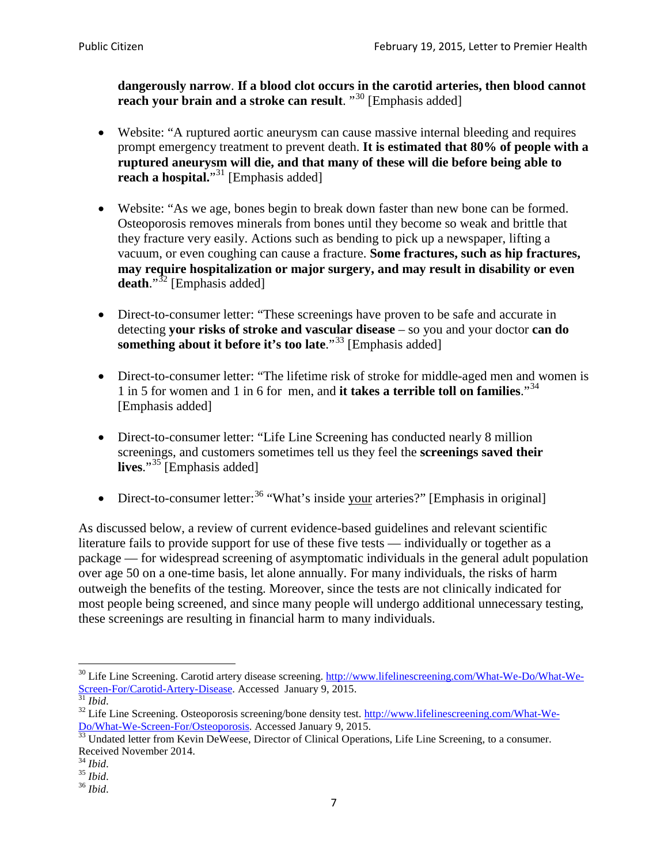**dangerously narrow**. **If a blood clot occurs in the carotid arteries, then blood cannot reach your brain and a stroke can result**. "<sup>[30](#page-6-0)</sup> [Emphasis added]

- Website: "A ruptured aortic aneurysm can cause massive internal bleeding and requires prompt emergency treatment to prevent death. **It is estimated that 80% of people with a ruptured aneurysm will die, and that many of these will die before being able to reach a hospital.**"<sup>[31](#page-6-1)</sup> [Emphasis added]
- Website: "As we age, bones begin to break down faster than new bone can be formed. Osteoporosis removes minerals from bones until they become so weak and brittle that they fracture very easily. Actions such as bending to pick up a newspaper, lifting a vacuum, or even coughing can cause a fracture. **Some fractures, such as hip fractures, may require hospitalization or major surgery, and may result in disability or even**  death."<sup>[32](#page-6-2)</sup> [Emphasis added]
- Direct-to-consumer letter: "These screenings have proven to be safe and accurate in detecting **your risks of stroke and vascular disease** – so you and your doctor **can do something about it before it's too late**."<sup>[33](#page-6-3)</sup> [Emphasis added]
- Direct-to-consumer letter: "The lifetime risk of stroke for middle-aged men and women is 1 in 5 for women and 1 in 6 for men, and **it takes a terrible toll on families**."[34](#page-6-4) [Emphasis added]
- Direct-to-consumer letter: "Life Line Screening has conducted nearly 8 million screenings, and customers sometimes tell us they feel the **screenings saved their lives**."[35](#page-6-5) [Emphasis added]
- Direct-to-consumer letter:  $36$  "What's inside your arteries?" [Emphasis in original]

As discussed below, a review of current evidence-based guidelines and relevant scientific literature fails to provide support for use of these five tests — individually or together as a package — for widespread screening of asymptomatic individuals in the general adult population over age 50 on a one-time basis, let alone annually. For many individuals, the risks of harm outweigh the benefits of the testing. Moreover, since the tests are not clinically indicated for most people being screened, and since many people will undergo additional unnecessary testing, these screenings are resulting in financial harm to many individuals.

<span id="page-6-0"></span><sup>&</sup>lt;sup>30</sup> Life Line Screening. Carotid artery disease screening. [http://www.lifelinescreening.com/What-We-Do/What-We-](http://www.lifelinescreening.com/What-We-Do/What-We-Screen-For/Carotid-Artery-Disease)[Screen-For/Carotid-Artery-Disease.](http://www.lifelinescreening.com/What-We-Do/What-We-Screen-For/Carotid-Artery-Disease) Accessed January 9, 2015.<br><sup>31</sup> *Ibid.* 32 Life Line Screening. Osteoporosis screening/bone density test. [http://www.lifelinescreening.com/What-We-](http://www.lifelinescreening.com/What-We-Do/What-We-Screen-For/Osteoporosis)

<span id="page-6-2"></span><span id="page-6-1"></span>[Do/What-We-Screen-For/Osteoporosis.](http://www.lifelinescreening.com/What-We-Do/What-We-Screen-For/Osteoporosis) Accessed January 9, 2015. <sup>33</sup> Undated letter from Kevin DeWeese, Director of Clinical Operations, Life Line Screening, to a consumer.

<span id="page-6-3"></span>Received November 2014.<br><sup>34</sup> Ibid.

<span id="page-6-4"></span>

<span id="page-6-5"></span><sup>34</sup> *Ibid*. 35 *Ibid*. 36 *Ibid*.

<span id="page-6-6"></span>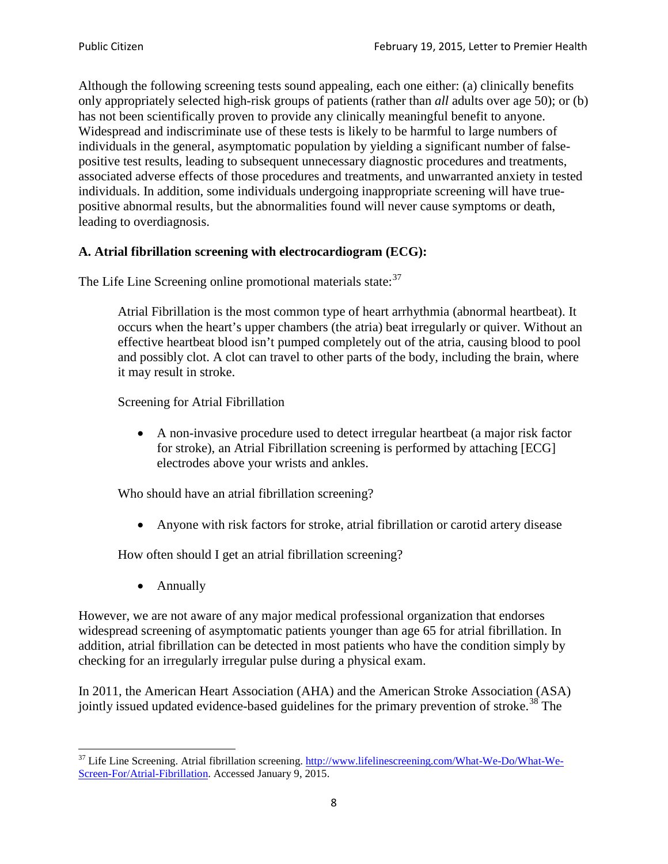Although the following screening tests sound appealing, each one either: (a) clinically benefits only appropriately selected high-risk groups of patients (rather than *all* adults over age 50); or (b) has not been scientifically proven to provide any clinically meaningful benefit to anyone. Widespread and indiscriminate use of these tests is likely to be harmful to large numbers of individuals in the general, asymptomatic population by yielding a significant number of falsepositive test results, leading to subsequent unnecessary diagnostic procedures and treatments, associated adverse effects of those procedures and treatments, and unwarranted anxiety in tested individuals. In addition, some individuals undergoing inappropriate screening will have truepositive abnormal results, but the abnormalities found will never cause symptoms or death, leading to overdiagnosis.

# **A. Atrial fibrillation screening with electrocardiogram (ECG):**

The Life Line Screening online promotional materials state:<sup>[37](#page-7-0)</sup>

Atrial Fibrillation is the most common type of heart arrhythmia (abnormal heartbeat). It occurs when the heart's upper chambers (the atria) beat irregularly or quiver. Without an effective heartbeat blood isn't pumped completely out of the atria, causing blood to pool and possibly clot. A clot can travel to other parts of the body, including the brain, where it may result in stroke.

Screening for Atrial Fibrillation

• A non-invasive procedure used to detect irregular heartbeat (a major risk factor for stroke), an Atrial Fibrillation screening is performed by attaching [ECG] electrodes above your wrists and ankles.

Who should have an atrial fibrillation screening?

• Anyone with risk factors for stroke, atrial fibrillation or carotid artery disease

How often should I get an atrial fibrillation screening?

• Annually

<span id="page-7-1"></span>However, we are not aware of any major medical professional organization that endorses widespread screening of asymptomatic patients younger than age 65 for atrial fibrillation. In addition, atrial fibrillation can be detected in most patients who have the condition simply by checking for an irregularly irregular pulse during a physical exam.

In 2011, the American Heart Association (AHA) and the American Stroke Association (ASA) jointly issued updated evidence-based guidelines for the primary prevention of stroke.<sup>[38](#page-7-1)</sup> The

<span id="page-7-0"></span><sup>&</sup>lt;sup>37</sup> Life Line Screening. Atrial fibrillation screening. [http://www.lifelinescreening.com/What-We-Do/What-We-](http://www.lifelinescreening.com/What-We-Do/What-We-Screen-For/Atrial-Fibrillation)[Screen-For/Atrial-Fibrillation.](http://www.lifelinescreening.com/What-We-Do/What-We-Screen-For/Atrial-Fibrillation) Accessed January 9, 2015.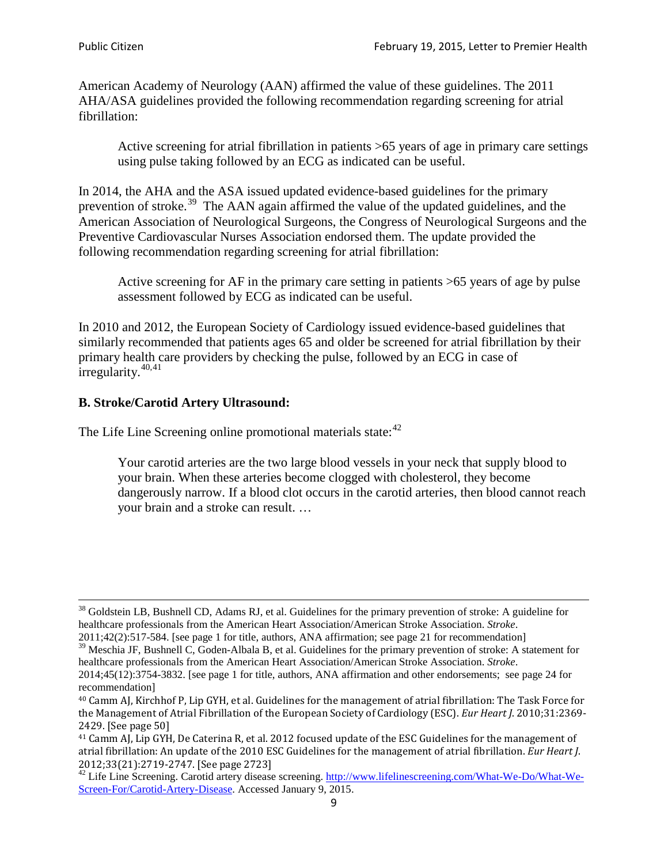American Academy of Neurology (AAN) affirmed the value of these guidelines. The 2011 AHA/ASA guidelines provided the following recommendation regarding screening for atrial fibrillation:

Active screening for atrial fibrillation in patients >65 years of age in primary care settings using pulse taking followed by an ECG as indicated can be useful.

In 2014, the AHA and the ASA issued updated evidence-based guidelines for the primary prevention of stroke.<sup>[39](#page-8-0)</sup> The AAN again affirmed the value of the updated guidelines, and the American Association of Neurological Surgeons, the Congress of Neurological Surgeons and the Preventive Cardiovascular Nurses Association endorsed them. The update provided the following recommendation regarding screening for atrial fibrillation:

Active screening for AF in the primary care setting in patients >65 years of age by pulse assessment followed by ECG as indicated can be useful.

In 2010 and 2012, the European Society of Cardiology issued evidence-based guidelines that similarly recommended that patients ages 65 and older be screened for atrial fibrillation by their primary health care providers by checking the pulse, followed by an ECG in case of  $irregularity.<sup>40,41</sup>$  $irregularity.<sup>40,41</sup>$  $irregularity.<sup>40,41</sup>$  $irregularity.<sup>40,41</sup>$ 

# **B. Stroke/Carotid Artery Ultrasound:**

The Life Line Screening online promotional materials state:<sup>[42](#page-8-3)</sup>

Your carotid arteries are the two large blood vessels in your neck that supply blood to your brain. When these arteries become clogged with cholesterol, they become dangerously narrow. If a blood clot occurs in the carotid arteries, then blood cannot reach your brain and a stroke can result. …

<sup>&</sup>lt;sup>38</sup> Goldstein LB, Bushnell CD, Adams RJ, et al. Guidelines for the primary prevention of stroke: A guideline for healthcare professionals from the American Heart Association/American Stroke Association. *Stroke*.

<sup>2011;42(2):517-584.</sup> [see page 1 for title, authors, ANA affirmation; see page 21 for recommendation]

<span id="page-8-0"></span> $\frac{2011,42(2)(317,601)}{39}$  Meschia JF, Bushnell C, Goden-Albala B, et al. Guidelines for the primary prevention of stroke: A statement for healthcare professionals from the American Heart Association/American Stroke Association. *Stroke*.

<sup>2014;45(12):3754-3832.</sup> [see page 1 for title, authors, ANA affirmation and other endorsements; see page 24 for recommendation]

<span id="page-8-1"></span><sup>40</sup> Camm AJ, Kirchhof P, Lip GYH, et al. Guidelines for the management of atrial fibrillation: The Task Force for the Management of Atrial Fibrillation of the European Society of Cardiology (ESC). *Eur Heart J*. 2010;31:2369- 2429. [See page 50]

<span id="page-8-2"></span><sup>41</sup> Camm AJ, Lip GYH, De Caterina R, et al. 2012 focused update of the ESC Guidelines for the management of atrial fibrillation: An update of the 2010 ESC Guidelines for the management of atrial fibrillation. *Eur Heart J*.

<span id="page-8-3"></span><sup>2012;33(21):2719-2747. [</sup>See page 2723]<br><sup>42</sup> Life Line Screening. Carotid artery disease screening. [http://www.lifelinescreening.com/What-We-Do/What-We-](http://www.lifelinescreening.com/What-We-Do/What-We-Screen-For/Carotid-Artery-Disease)[Screen-For/Carotid-Artery-Disease.](http://www.lifelinescreening.com/What-We-Do/What-We-Screen-For/Carotid-Artery-Disease) Accessed January 9, 2015.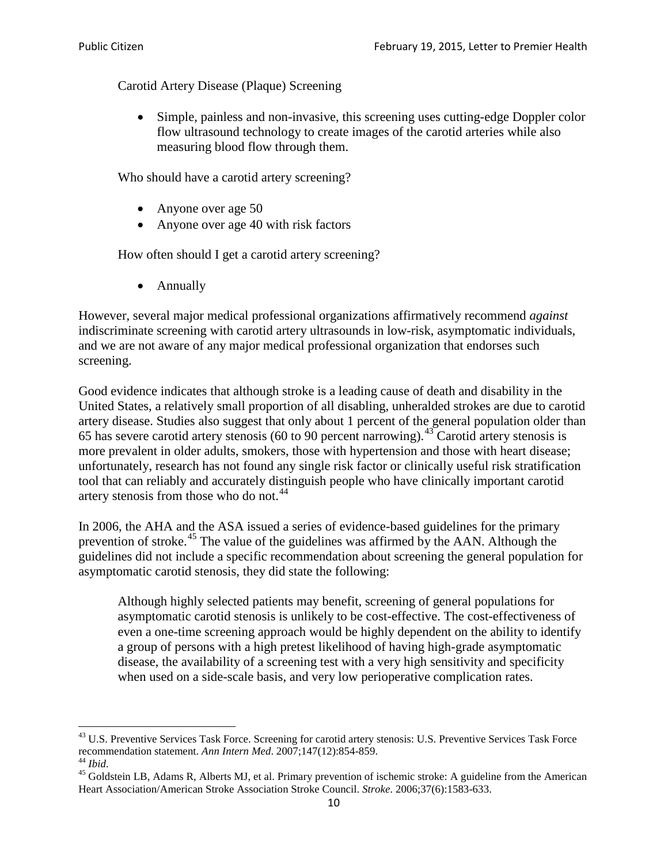Carotid Artery Disease (Plaque) Screening

• Simple, painless and non-invasive, this screening uses cutting-edge Doppler color flow ultrasound technology to create images of the carotid arteries while also measuring blood flow through them.

Who should have a carotid artery screening?

- Anyone over age 50
- Anyone over age 40 with risk factors

How often should I get a carotid artery screening?

• Annually

However, several major medical professional organizations affirmatively recommend *against* indiscriminate screening with carotid artery ultrasounds in low-risk, asymptomatic individuals, and we are not aware of any major medical professional organization that endorses such screening.

Good evidence indicates that although stroke is a leading cause of death and disability in the United States, a relatively small proportion of all disabling, unheralded strokes are due to carotid artery disease. Studies also suggest that only about 1 percent of the general population older than 65 has severe carotid artery stenosis (60 to 90 percent narrowing).<sup>[43](#page-9-0)</sup> Carotid artery stenosis is more prevalent in older adults, smokers, those with hypertension and those with heart disease; unfortunately, research has not found any single risk factor or clinically useful risk stratification tool that can reliably and accurately distinguish people who have clinically important carotid artery stenosis from those who do not.<sup>[44](#page-9-1)</sup>

In 2006, the AHA and the ASA issued a series of evidence-based guidelines for the primary prevention of stroke.[45](#page-9-2) The value of the guidelines was affirmed by the AAN. Although the guidelines did not include a specific recommendation about screening the general population for asymptomatic carotid stenosis, they did state the following:

Although highly selected patients may benefit, screening of general populations for asymptomatic carotid stenosis is unlikely to be cost-effective. The cost-effectiveness of even a one-time screening approach would be highly dependent on the ability to identify a group of persons with a high pretest likelihood of having high-grade asymptomatic disease, the availability of a screening test with a very high sensitivity and specificity when used on a side-scale basis, and very low perioperative complication rates.

<span id="page-9-0"></span> $^{43}$  U.S. Preventive Services Task Force. Screening for carotid artery stenosis: U.S. Preventive Services Task Force recommendation statement. Ann Intern Med. 2007;147(12):854-859.

<span id="page-9-2"></span><span id="page-9-1"></span><sup>&</sup>lt;sup>44</sup> *Ibid*. <sup>45</sup> Goldstein LB, Adams R, Alberts MJ, et al. Primary prevention of ischemic stroke: A guideline from the American <sup>45</sup> Goldstein LB, Adams R, Alberts MJ, et al. Primary prevention of ischemic stroke: A guide Heart Association/American Stroke Association Stroke Council. *Stroke*. 2006;37(6):1583-633.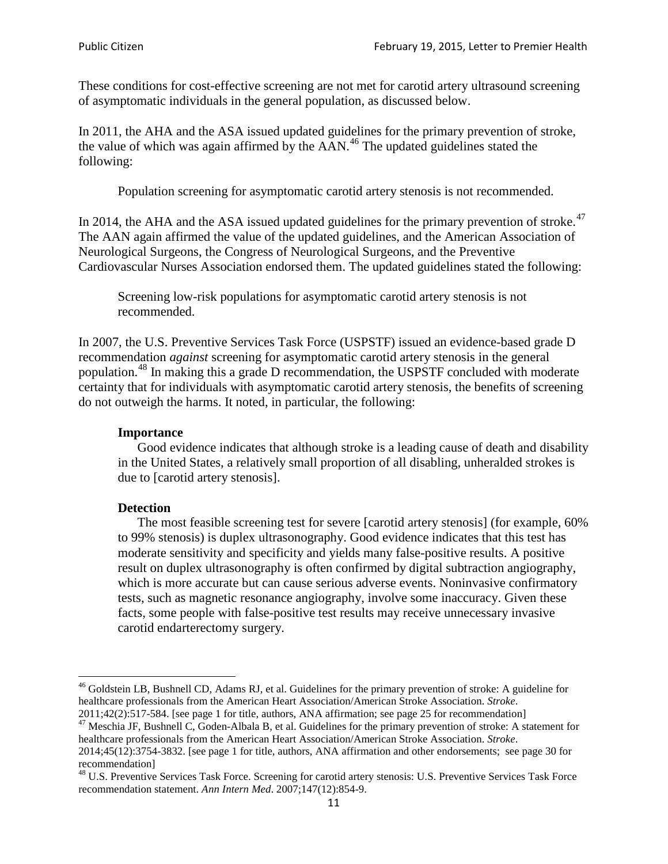These conditions for cost-effective screening are not met for carotid artery ultrasound screening of asymptomatic individuals in the general population, as discussed below.

In 2011, the AHA and the ASA issued updated guidelines for the primary prevention of stroke, the value of which was again affirmed by the  $AAN<sup>46</sup>$  $AAN<sup>46</sup>$  $AAN<sup>46</sup>$ . The updated guidelines stated the following:

Population screening for asymptomatic carotid artery stenosis is not recommended.

In 2014, the AHA and the ASA issued updated guidelines for the primary prevention of stroke.<sup>47</sup> The AAN again affirmed the value of the updated guidelines, and the American Association of Neurological Surgeons, the Congress of Neurological Surgeons, and the Preventive Cardiovascular Nurses Association endorsed them. The updated guidelines stated the following:

Screening low-risk populations for asymptomatic carotid artery stenosis is not recommended.

In 2007, the U.S. Preventive Services Task Force (USPSTF) issued an evidence-based grade D recommendation *against* screening for asymptomatic carotid artery stenosis in the general population.[48](#page-10-2) In making this a grade D recommendation, the USPSTF concluded with moderate certainty that for individuals with asymptomatic carotid artery stenosis, the benefits of screening do not outweigh the harms. It noted, in particular, the following:

#### **Importance**

Good evidence indicates that although stroke is a leading cause of death and disability in the United States, a relatively small proportion of all disabling, unheralded strokes is due to [carotid artery stenosis].

#### **Detection**

The most feasible screening test for severe [carotid artery stenosis] (for example, 60% to 99% stenosis) is duplex ultrasonography. Good evidence indicates that this test has moderate sensitivity and specificity and yields many false-positive results. A positive result on duplex ultrasonography is often confirmed by digital subtraction angiography, which is more accurate but can cause serious adverse events. Noninvasive confirmatory tests, such as magnetic resonance angiography, involve some inaccuracy. Given these facts, some people with false-positive test results may receive unnecessary invasive carotid endarterectomy surgery.

<span id="page-10-0"></span><sup>&</sup>lt;sup>46</sup> Goldstein LB, Bushnell CD, Adams RJ, et al. Guidelines for the primary prevention of stroke: A guideline for healthcare professionals from the American Heart Association/American Stroke Association. *Stroke*.<br>2011;42(2):517-584. [see page 1 for title, authors, ANA affirmation; see page 25 for recommendation]

<span id="page-10-1"></span><sup>&</sup>lt;sup>47</sup> Meschia JF, Bushnell C, Goden-Albala B, et al. Guidelines for the primary prevention of stroke: A statement for healthcare professionals from the American Heart Association/American Stroke Association. *Stroke*. 2014;45(12):3754-3832. [see page 1 for title, authors, ANA affirmation and other endorsements; see page 30 for

recommendation]

<span id="page-10-2"></span><sup>&</sup>lt;sup>48</sup> U.S. Preventive Services Task Force. Screening for carotid artery stenosis: U.S. Preventive Services Task Force recommendation statement. *Ann Intern Med*. 2007;147(12):854-9.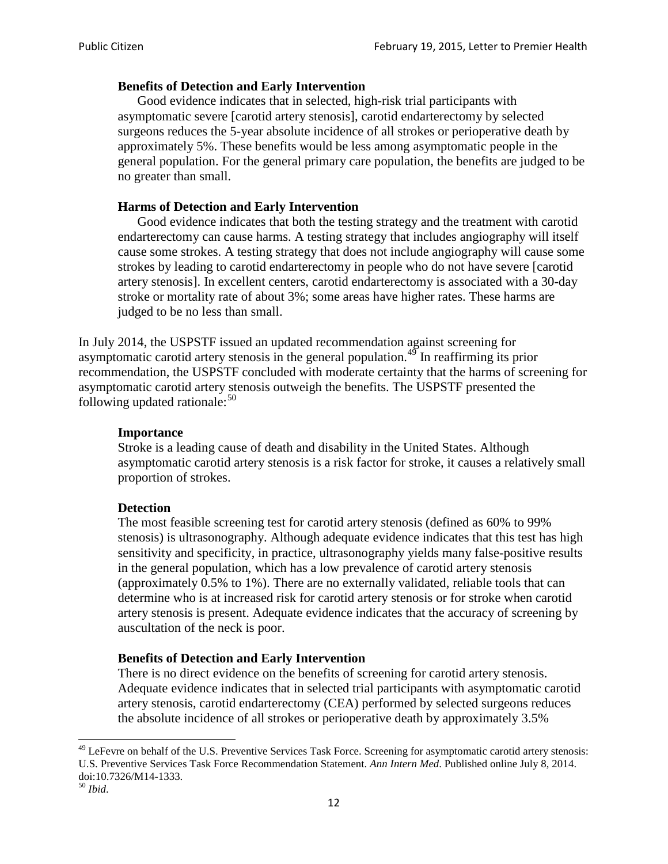### **Benefits of Detection and Early Intervention**

Good evidence indicates that in selected, high-risk trial participants with asymptomatic severe [carotid artery stenosis], carotid endarterectomy by selected surgeons reduces the 5-year absolute incidence of all strokes or perioperative death by approximately 5%. These benefits would be less among asymptomatic people in the general population. For the general primary care population, the benefits are judged to be no greater than small.

### **Harms of Detection and Early Intervention**

Good evidence indicates that both the testing strategy and the treatment with carotid endarterectomy can cause harms. A testing strategy that includes angiography will itself cause some strokes. A testing strategy that does not include angiography will cause some strokes by leading to carotid endarterectomy in people who do not have severe [carotid artery stenosis]. In excellent centers, carotid endarterectomy is associated with a 30-day stroke or mortality rate of about 3%; some areas have higher rates. These harms are judged to be no less than small.

In July 2014, the USPSTF issued an updated recommendation against screening for asymptomatic carotid artery stenosis in the general population.<sup>[49](#page-11-0)</sup> In reaffirming its prior recommendation, the USPSTF concluded with moderate certainty that the harms of screening for asymptomatic carotid artery stenosis outweigh the benefits. The USPSTF presented the following updated rationale: $50$ 

#### **Importance**

Stroke is a leading cause of death and disability in the United States. Although asymptomatic carotid artery stenosis is a risk factor for stroke, it causes a relatively small proportion of strokes.

#### **Detection**

The most feasible screening test for carotid artery stenosis (defined as 60% to 99% stenosis) is ultrasonography. Although adequate evidence indicates that this test has high sensitivity and specificity, in practice, ultrasonography yields many false-positive results in the general population, which has a low prevalence of carotid artery stenosis (approximately 0.5% to 1%). There are no externally validated, reliable tools that can determine who is at increased risk for carotid artery stenosis or for stroke when carotid artery stenosis is present. Adequate evidence indicates that the accuracy of screening by auscultation of the neck is poor.

## **Benefits of Detection and Early Intervention**

There is no direct evidence on the benefits of screening for carotid artery stenosis. Adequate evidence indicates that in selected trial participants with asymptomatic carotid artery stenosis, carotid endarterectomy (CEA) performed by selected surgeons reduces the absolute incidence of all strokes or perioperative death by approximately 3.5%

<span id="page-11-0"></span><sup>&</sup>lt;sup>49</sup> LeFevre on behalf of the U.S. Preventive Services Task Force. Screening for asymptomatic carotid artery stenosis: U.S. Preventive Services Task Force Recommendation Statement. *Ann Intern Med*. Published online July 8, 2014. doi:10.7326/M14-1333. <sup>50</sup> *Ibid*.

<span id="page-11-1"></span>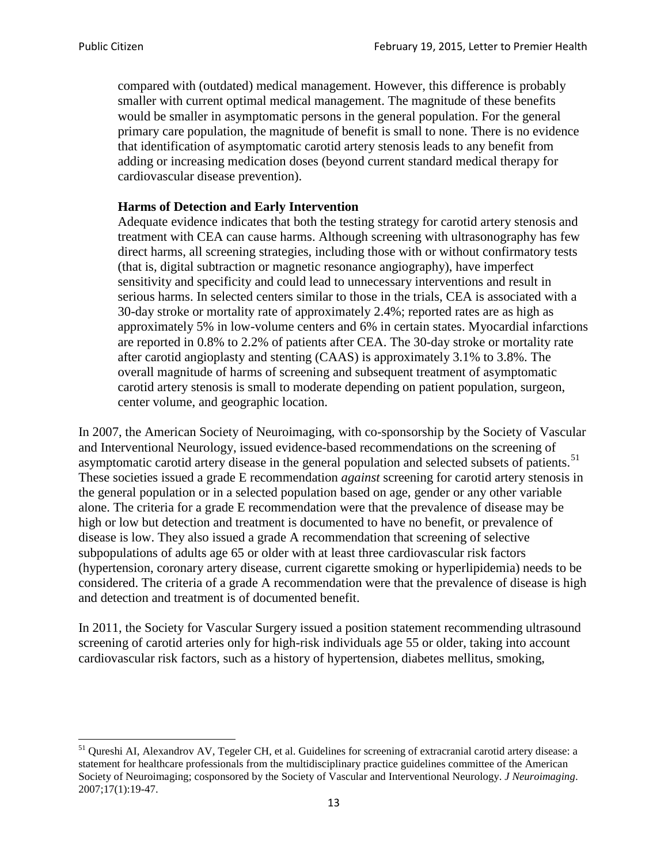compared with (outdated) medical management. However, this difference is probably smaller with current optimal medical management. The magnitude of these benefits would be smaller in asymptomatic persons in the general population. For the general primary care population, the magnitude of benefit is small to none. There is no evidence that identification of asymptomatic carotid artery stenosis leads to any benefit from adding or increasing medication doses (beyond current standard medical therapy for cardiovascular disease prevention).

#### **Harms of Detection and Early Intervention**

Adequate evidence indicates that both the testing strategy for carotid artery stenosis and treatment with CEA can cause harms. Although screening with ultrasonography has few direct harms, all screening strategies, including those with or without confirmatory tests (that is, digital subtraction or magnetic resonance angiography), have imperfect sensitivity and specificity and could lead to unnecessary interventions and result in serious harms. In selected centers similar to those in the trials, CEA is associated with a 30-day stroke or mortality rate of approximately 2.4%; reported rates are as high as approximately 5% in low-volume centers and 6% in certain states. Myocardial infarctions are reported in 0.8% to 2.2% of patients after CEA. The 30-day stroke or mortality rate after carotid angioplasty and stenting (CAAS) is approximately 3.1% to 3.8%. The overall magnitude of harms of screening and subsequent treatment of asymptomatic carotid artery stenosis is small to moderate depending on patient population, surgeon, center volume, and geographic location.

In 2007, the American Society of Neuroimaging, with co-sponsorship by the Society of Vascular and Interventional Neurology, issued evidence-based recommendations on the screening of asymptomatic carotid artery disease in the general population and selected subsets of patients.<sup>[51](#page-12-0)</sup> These societies issued a grade E recommendation *against* screening for carotid artery stenosis in the general population or in a selected population based on age, gender or any other variable alone. The criteria for a grade E recommendation were that the prevalence of disease may be high or low but detection and treatment is documented to have no benefit, or prevalence of disease is low. They also issued a grade A recommendation that screening of selective subpopulations of adults age 65 or older with at least three cardiovascular risk factors (hypertension, coronary artery disease, current cigarette smoking or hyperlipidemia) needs to be considered. The criteria of a grade A recommendation were that the prevalence of disease is high and detection and treatment is of documented benefit.

In 2011, the Society for Vascular Surgery issued a position statement recommending ultrasound screening of carotid arteries only for high-risk individuals age 55 or older, taking into account cardiovascular risk factors, such as a history of hypertension, diabetes mellitus, smoking,

<span id="page-12-0"></span><sup>&</sup>lt;sup>51</sup> Qureshi AI, Alexandrov AV, Tegeler CH, et al. Guidelines for screening of extracranial carotid artery disease: a statement for healthcare professionals from the multidisciplinary practice guidelines committee of the American Society of Neuroimaging; cosponsored by the Society of Vascular and Interventional Neurology. *J Neuroimaging*. 2007;17(1):19-47.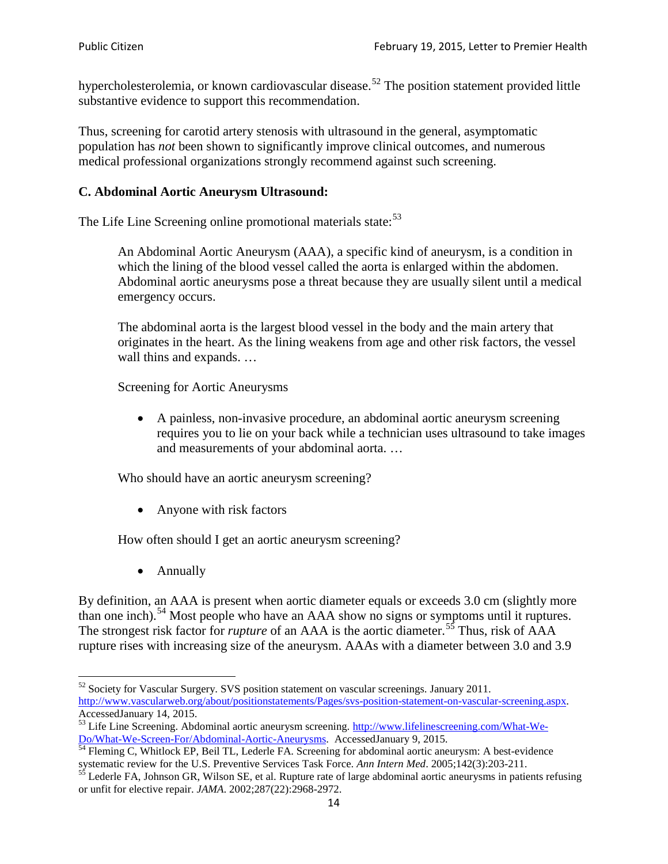hypercholesterolemia, or known cardiovascular disease.<sup>[52](#page-13-0)</sup> The position statement provided little substantive evidence to support this recommendation.

Thus, screening for carotid artery stenosis with ultrasound in the general, asymptomatic population has *not* been shown to significantly improve clinical outcomes, and numerous medical professional organizations strongly recommend against such screening.

#### **C. Abdominal Aortic Aneurysm Ultrasound:**

The Life Line Screening online promotional materials state:<sup>[53](#page-13-1)</sup>

An Abdominal Aortic Aneurysm (AAA), a specific kind of aneurysm, is a condition in which the lining of the blood vessel called the aorta is enlarged within the abdomen. Abdominal aortic aneurysms pose a threat because they are usually silent until a medical emergency occurs.

The abdominal aorta is the largest blood vessel in the body and the main artery that originates in the heart. As the lining weakens from age and other risk factors, the vessel wall thins and expands. …

Screening for Aortic Aneurysms

• A painless, non-invasive procedure, an abdominal aortic aneurysm screening requires you to lie on your back while a technician uses ultrasound to take images and measurements of your abdominal aorta. …

Who should have an aortic aneurysm screening?

• Anyone with risk factors

How often should I get an aortic aneurysm screening?

• Annually

By definition, an AAA is present when aortic diameter equals or exceeds 3.0 cm (slightly more than one inch).<sup>[54](#page-13-2)</sup> Most people who have an AAA show no signs or symptoms until it ruptures. The strongest risk factor for *rupture* of an AAA is the aortic diameter.<sup>[55](#page-13-3)</sup> Thus, risk of AAA rupture rises with increasing size of the aneurysm. AAAs with a diameter between 3.0 and 3.9

<span id="page-13-0"></span> $52$  Society for Vascular Surgery. SVS position statement on vascular screenings. January 2011. http://www.vascularweb.org/about/positionstatements/Pages/svs-position-statement-on-vascular-screening.aspx.<br>Accessed January 14, 2015.

<span id="page-13-1"></span>Accessed January 14, 2015.<br>
Sa Life Line Screening. Abdominal aortic aneurysm screening. http://www.lifelinescreening.com/What-We-<br>
Do/What-We-Screen-For/Abdominal-Aortic-Aneurysms. Accessed January 9, 2015.

<span id="page-13-2"></span> $\frac{54}{9}$  Fleming C, Whitlock EP, Beil TL, Lederle FA. Screening for abdominal aortic aneurysm: A best-evidence systematic review for the U.S. Preventive Services Task Force. *Ann Intern Med.* 2005;142(3):203-211.<br><sup>55</sup> Lederle FA, Johnson GR, Wilson SE, et al. Rupture rate of large abdominal aortic aneurysms in patients refusing

<span id="page-13-3"></span>or unfit for elective repair. *JAMA*. 2002;287(22):2968-2972.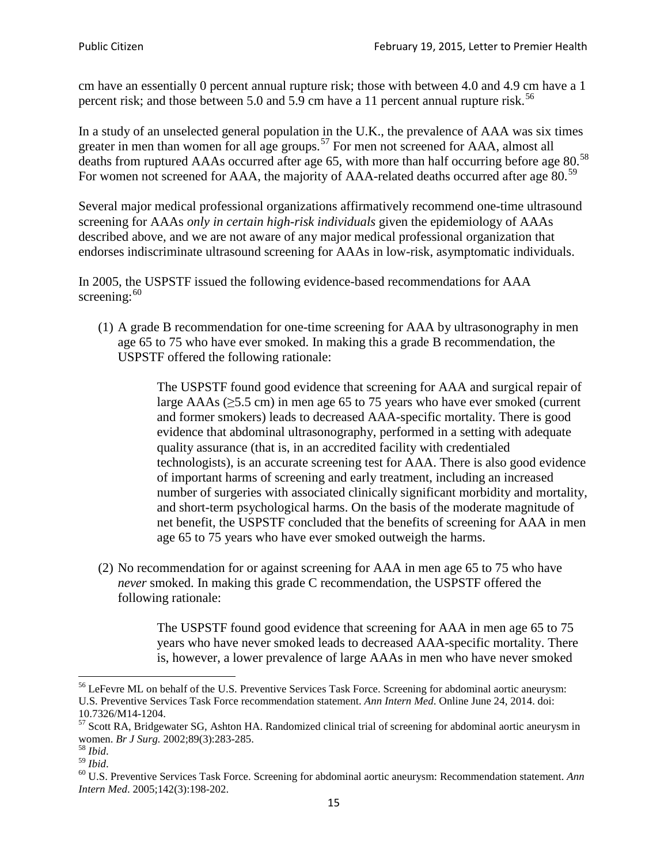cm have an essentially 0 percent annual rupture risk; those with between 4.0 and 4.9 cm have a 1 percent risk; and those between 5.0 and 5.9 cm have a 11 percent annual rupture risk.<sup>[56](#page-14-0)</sup>

In a study of an unselected general population in the U.K., the prevalence of AAA was six times greater in men than women for all age groups.<sup>[57](#page-14-1)</sup> For men not screened for  $AAA$ , almost all deaths from ruptured AAAs occurred after age 65, with more than half occurring before age 80.<sup>[58](#page-14-2)</sup> For women not screened for AAA, the majority of AAA-related deaths occurred after age 80.<sup>[59](#page-14-3)</sup>

Several major medical professional organizations affirmatively recommend one-time ultrasound screening for AAAs *only in certain high-risk individuals* given the epidemiology of AAAs described above, and we are not aware of any major medical professional organization that endorses indiscriminate ultrasound screening for AAAs in low-risk, asymptomatic individuals.

In 2005, the USPSTF issued the following evidence-based recommendations for AAA screening: $60$ 

(1) A grade B recommendation for one-time screening for AAA by ultrasonography in men age 65 to 75 who have ever smoked. In making this a grade [B recommendation,](http://www.uspreventiveservicestaskforce.org/uspstf/gradespre.htm#brec) the USPSTF offered the following rationale:

> The USPSTF found good evidence that screening for AAA and surgical repair of large AAAs ( $\geq$ 5.5 cm) in men age 65 to 75 years who have ever smoked (current and former smokers) leads to decreased AAA-specific mortality. There is good evidence that abdominal ultrasonography, performed in a setting with adequate quality assurance (that is, in an accredited facility with credentialed technologists), is an accurate screening test for AAA. There is also good evidence of important harms of screening and early treatment, including an increased number of surgeries with associated clinically significant morbidity and mortality, and short-term psychological harms. On the basis of the moderate magnitude of net benefit, the USPSTF concluded that the benefits of screening for AAA in men age 65 to 75 years who have ever smoked outweigh the harms.

(2) No recommendation for or against screening for AAA in men age 65 to 75 who have *never* smoked. In making this grade C recommendation, the USPSTF offered the following rationale:

> The USPSTF found good evidence that screening for AAA in men age 65 to 75 years who have never smoked leads to decreased AAA-specific mortality. There is, however, a lower prevalence of large AAAs in men who have never smoked

<span id="page-14-0"></span><sup>&</sup>lt;sup>56</sup> LeFevre ML on behalf of the U.S. Preventive Services Task Force. Screening for abdominal aortic aneurysm: U.S. Preventive Services Task Force recommendation statement. *Ann Intern Med*. Online June 24, 2014. doi:

<span id="page-14-1"></span><sup>10.7326/</sup>M14-1204.<br> $57$  Scott RA, Bridgewater SG, Ashton HA. Randomized clinical trial of screening for abdominal aortic aneurysm in women. *Br J Surg.* 2002;89(3):283-285.

<span id="page-14-4"></span><span id="page-14-3"></span>

<span id="page-14-2"></span><sup>&</sup>lt;sup>58</sup> *Ibid.*<br><sup>59</sup> *Ibid.* 2002;<br><sup>60</sup> U.S. Preventive Services Task Force. Screening for abdominal aortic aneurysm: Recommendation statement. *Ann Intern Med*. 2005;142(3):198-202.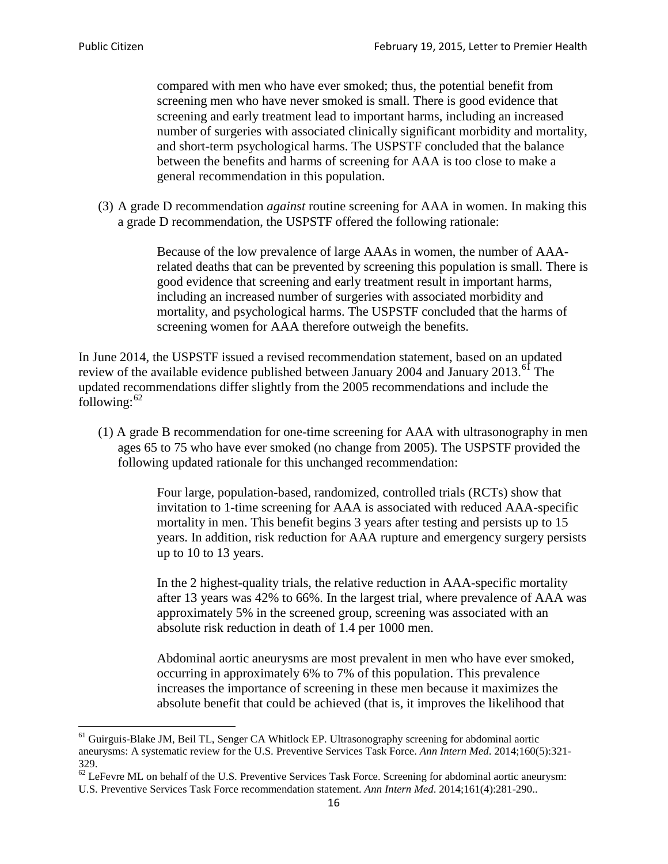compared with men who have ever smoked; thus, the potential benefit from screening men who have never smoked is small. There is good evidence that screening and early treatment lead to important harms, including an increased number of surgeries with associated clinically significant morbidity and mortality, and short-term psychological harms. The USPSTF concluded that the balance between the benefits and harms of screening for AAA is too close to make a general recommendation in this population.

(3) A grade D recommendation *against* routine screening for AAA in women. In making this a grade D recommendation, the USPSTF offered the following rationale:

> Because of the low prevalence of large AAAs in women, the number of AAArelated deaths that can be prevented by screening this population is small. There is good evidence that screening and early treatment result in important harms, including an increased number of surgeries with associated morbidity and mortality, and psychological harms. The USPSTF concluded that the harms of screening women for AAA therefore outweigh the benefits.

In June 2014, the USPSTF issued a revised recommendation statement, based on an updated review of the available evidence published between January 2004 and January 2013.<sup>[61](#page-15-0)</sup> The updated recommendations differ slightly from the 2005 recommendations and include the following: $62$ 

(1) A grade B recommendation for one-time screening for AAA with ultrasonography in men ages 65 to 75 who have ever smoked (no change from 2005). The USPSTF provided the following updated rationale for this unchanged recommendation:

> Four large, population-based, randomized, controlled trials (RCTs) show that invitation to 1-time screening for AAA is associated with reduced AAA-specific mortality in men. This benefit begins 3 years after testing and persists up to 15 years. In addition, risk reduction for AAA rupture and emergency surgery persists up to 10 to 13 years.

> In the 2 highest-quality trials, the relative reduction in AAA-specific mortality after 13 years was 42% to 66%. In the largest trial, where prevalence of AAA was approximately 5% in the screened group, screening was associated with an absolute risk reduction in death of 1.4 per 1000 men.

Abdominal aortic aneurysms are most prevalent in men who have ever smoked, occurring in approximately 6% to 7% of this population. This prevalence increases the importance of screening in these men because it maximizes the absolute benefit that could be achieved (that is, it improves the likelihood that

<span id="page-15-0"></span><sup>61</sup> Guirguis-Blake JM, Beil TL, Senger CA Whitlock EP. Ultrasonography screening for abdominal aortic aneurysms: A systematic review for the U.S. Preventive Services Task Force. *Ann Intern Med*. 2014;160(5):321- 329.

<span id="page-15-1"></span> $62$  LeFevre ML on behalf of the U.S. Preventive Services Task Force. Screening for abdominal aortic aneurysm: U.S. Preventive Services Task Force recommendation statement. *Ann Intern Med*. 2014;161(4):281-290..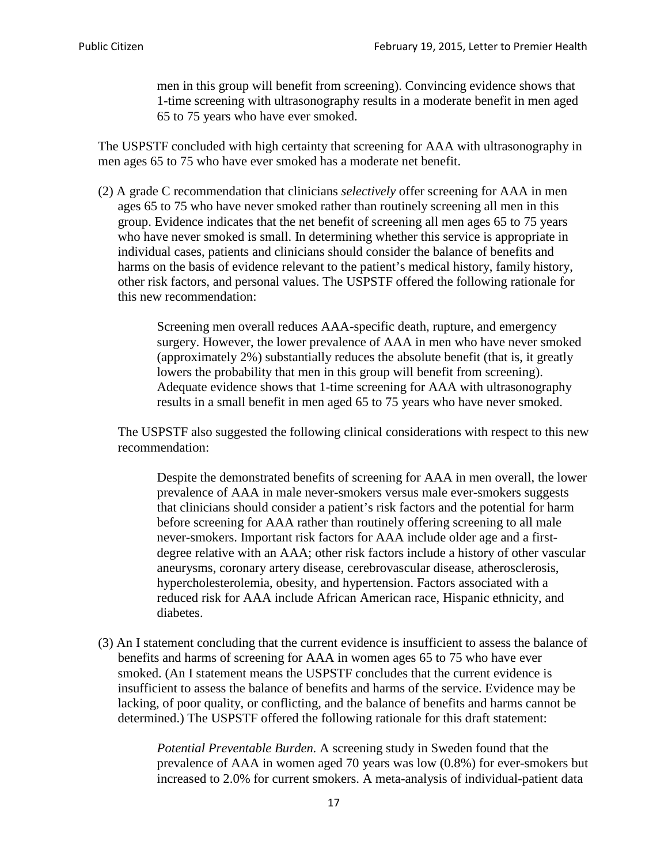men in this group will benefit from screening). Convincing evidence shows that 1-time screening with ultrasonography results in a moderate benefit in men aged 65 to 75 years who have ever smoked.

The USPSTF concluded with high certainty that screening for AAA with ultrasonography in men ages 65 to 75 who have ever smoked has a moderate net benefit.

(2) A grade C recommendation that clinicians *selectively* offer screening for AAA in men ages 65 to 75 who have never smoked rather than routinely screening all men in this group. Evidence indicates that the net benefit of screening all men ages 65 to 75 years who have never smoked is small. In determining whether this service is appropriate in individual cases, patients and clinicians should consider the balance of benefits and harms on the basis of evidence relevant to the patient's medical history, family history, other risk factors, and personal values. The USPSTF offered the following rationale for this new recommendation:

> Screening men overall reduces AAA-specific death, rupture, and emergency surgery. However, the lower prevalence of AAA in men who have never smoked (approximately 2%) substantially reduces the absolute benefit (that is, it greatly lowers the probability that men in this group will benefit from screening). Adequate evidence shows that 1-time screening for AAA with ultrasonography results in a small benefit in men aged 65 to 75 years who have never smoked.

The USPSTF also suggested the following clinical considerations with respect to this new recommendation:

Despite the demonstrated benefits of screening for AAA in men overall, the lower prevalence of AAA in male never-smokers versus male ever-smokers suggests that clinicians should consider a patient's risk factors and the potential for harm before screening for AAA rather than routinely offering screening to all male never-smokers. Important risk factors for AAA include older age and a firstdegree relative with an AAA; other risk factors include a history of other vascular aneurysms, coronary artery disease, cerebrovascular disease, atherosclerosis, hypercholesterolemia, obesity, and hypertension. Factors associated with a reduced risk for AAA include African American race, Hispanic ethnicity, and diabetes.

(3) An I statement concluding that the current evidence is insufficient to assess the balance of benefits and harms of screening for AAA in women ages 65 to 75 who have ever smoked. (An I statement means the USPSTF concludes that the current evidence is insufficient to assess the balance of benefits and harms of the service. Evidence may be lacking, of poor quality, or conflicting, and the balance of benefits and harms cannot be determined.) The USPSTF offered the following rationale for this draft statement:

> *Potential Preventable Burden.* A screening study in Sweden found that the prevalence of AAA in women aged 70 years was low (0.8%) for ever-smokers but increased to 2.0% for current smokers. A meta-analysis of individual-patient data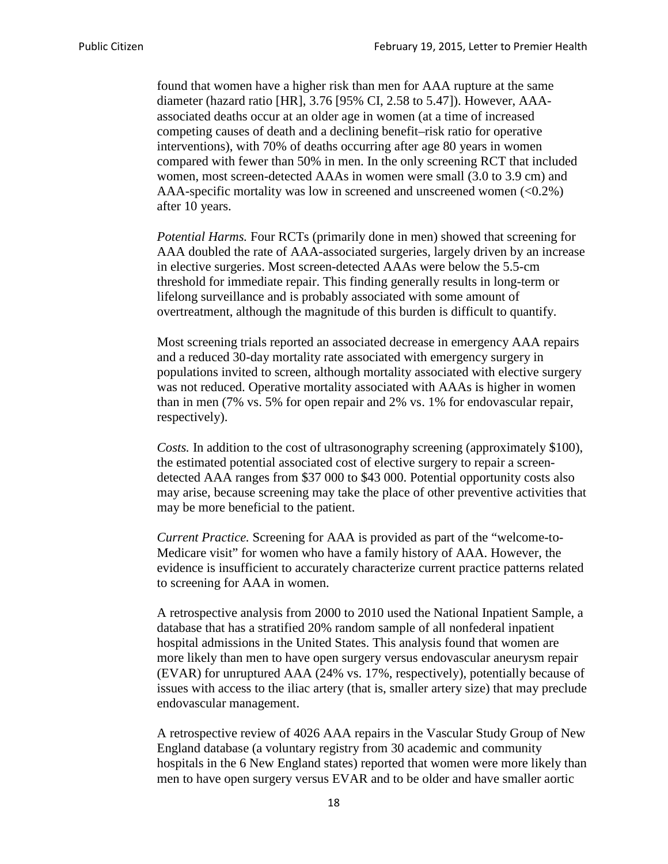found that women have a higher risk than men for AAA rupture at the same diameter (hazard ratio [HR], 3.76 [95% CI, 2.58 to 5.47]). However, AAAassociated deaths occur at an older age in women (at a time of increased competing causes of death and a declining benefit–risk ratio for operative interventions), with 70% of deaths occurring after age 80 years in women compared with fewer than 50% in men. In the only screening RCT that included women, most screen-detected AAAs in women were small (3.0 to 3.9 cm) and AAA-specific mortality was low in screened and unscreened women  $(<0.2\%)$ after 10 years.

*Potential Harms.* Four RCTs (primarily done in men) showed that screening for AAA doubled the rate of AAA-associated surgeries, largely driven by an increase in elective surgeries. Most screen-detected AAAs were below the 5.5-cm threshold for immediate repair. This finding generally results in long-term or lifelong surveillance and is probably associated with some amount of overtreatment, although the magnitude of this burden is difficult to quantify.

Most screening trials reported an associated decrease in emergency AAA repairs and a reduced 30-day mortality rate associated with emergency surgery in populations invited to screen, although mortality associated with elective surgery was not reduced. Operative mortality associated with AAAs is higher in women than in men (7% vs. 5% for open repair and 2% vs. 1% for endovascular repair, respectively).

*Costs.* In addition to the cost of ultrasonography screening (approximately \$100), the estimated potential associated cost of elective surgery to repair a screendetected AAA ranges from \$37 000 to \$43 000. Potential opportunity costs also may arise, because screening may take the place of other preventive activities that may be more beneficial to the patient.

*Current Practice.* Screening for AAA is provided as part of the "welcome-to-Medicare visit" for women who have a family history of AAA. However, the evidence is insufficient to accurately characterize current practice patterns related to screening for AAA in women.

A retrospective analysis from 2000 to 2010 used the National Inpatient Sample, a database that has a stratified 20% random sample of all nonfederal inpatient hospital admissions in the United States. This analysis found that women are more likely than men to have open surgery versus endovascular aneurysm repair (EVAR) for unruptured AAA (24% vs. 17%, respectively), potentially because of issues with access to the iliac artery (that is, smaller artery size) that may preclude endovascular management.

A retrospective review of 4026 AAA repairs in the Vascular Study Group of New England database (a voluntary registry from 30 academic and community hospitals in the 6 New England states) reported that women were more likely than men to have open surgery versus EVAR and to be older and have smaller aortic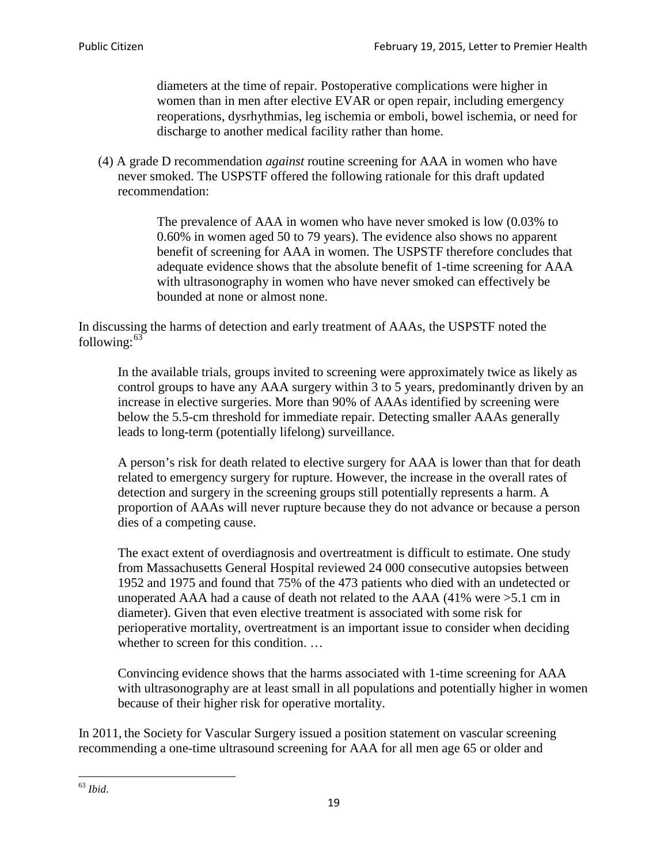diameters at the time of repair. Postoperative complications were higher in women than in men after elective EVAR or open repair, including emergency reoperations, dysrhythmias, leg ischemia or emboli, bowel ischemia, or need for discharge to another medical facility rather than home.

(4) A grade D recommendation *against* routine screening for AAA in women who have never smoked. The USPSTF offered the following rationale for this draft updated recommendation:

> The prevalence of AAA in women who have never smoked is low (0.03% to 0.60% in women aged 50 to 79 years). The evidence also shows no apparent benefit of screening for AAA in women. The USPSTF therefore concludes that adequate evidence shows that the absolute benefit of 1-time screening for AAA with ultrasonography in women who have never smoked can effectively be bounded at none or almost none.

In discussing the harms of detection and early treatment of AAAs, the USPSTF noted the following: $63$ 

In the available trials, groups invited to screening were approximately twice as likely as control groups to have any AAA surgery within 3 to 5 years, predominantly driven by an increase in elective surgeries. More than 90% of AAAs identified by screening were below the 5.5-cm threshold for immediate repair. Detecting smaller AAAs generally leads to long-term (potentially lifelong) surveillance.

A person's risk for death related to elective surgery for AAA is lower than that for death related to emergency surgery for rupture. However, the increase in the overall rates of detection and surgery in the screening groups still potentially represents a harm. A proportion of AAAs will never rupture because they do not advance or because a person dies of a competing cause.

The exact extent of overdiagnosis and overtreatment is difficult to estimate. One study from Massachusetts General Hospital reviewed 24 000 consecutive autopsies between 1952 and 1975 and found that 75% of the 473 patients who died with an undetected or unoperated AAA had a cause of death not related to the AAA (41% were >5.1 cm in diameter). Given that even elective treatment is associated with some risk for perioperative mortality, overtreatment is an important issue to consider when deciding whether to screen for this condition....

Convincing evidence shows that the harms associated with 1-time screening for AAA with ultrasonography are at least small in all populations and potentially higher in women because of their higher risk for operative mortality.

In 2011, the Society for Vascular Surgery issued a position statement on vascular screening recommending a one-time ultrasound screening for AAA for all men age 65 or older and

<span id="page-18-0"></span><sup>63</sup> *Ibid*.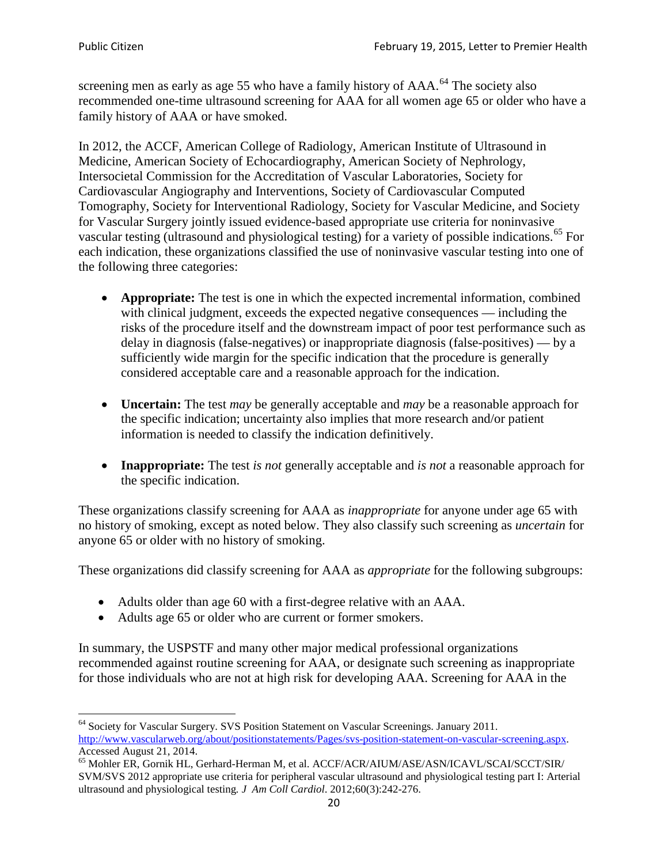screening men as early as age 55 who have a family history of AAA.<sup>[64](#page-19-0)</sup> The society also recommended one-time ultrasound screening for AAA for all women age 65 or older who have a family history of AAA or have smoked.

In 2012, the ACCF, American College of Radiology, American Institute of Ultrasound in Medicine, American Society of Echocardiography, American Society of Nephrology, Intersocietal Commission for the Accreditation of Vascular Laboratories, Society for Cardiovascular Angiography and Interventions, Society of Cardiovascular Computed Tomography, Society for Interventional Radiology, Society for Vascular Medicine, and Society for Vascular Surgery jointly issued evidence-based appropriate use criteria for noninvasive vascular testing (ultrasound and physiological testing) for a variety of possible indications.<sup>[65](#page-19-1)</sup> For each indication, these organizations classified the use of noninvasive vascular testing into one of the following three categories:

- **Appropriate:** The test is one in which the expected incremental information, combined with clinical judgment, exceeds the expected negative consequences — including the risks of the procedure itself and the downstream impact of poor test performance such as delay in diagnosis (false-negatives) or inappropriate diagnosis (false-positives) — by a sufficiently wide margin for the specific indication that the procedure is generally considered acceptable care and a reasonable approach for the indication.
- **Uncertain:** The test *may* be generally acceptable and *may* be a reasonable approach for the specific indication; uncertainty also implies that more research and/or patient information is needed to classify the indication definitively.
- **Inappropriate:** The test *is not* generally acceptable and *is not* a reasonable approach for the specific indication.

These organizations classify screening for AAA as *inappropriate* for anyone under age 65 with no history of smoking, except as noted below. They also classify such screening as *uncertain* for anyone 65 or older with no history of smoking.

These organizations did classify screening for AAA as *appropriate* for the following subgroups:

- Adults older than age 60 with a first-degree relative with an AAA.
- Adults age 65 or older who are current or former smokers.

In summary, the USPSTF and many other major medical professional organizations recommended against routine screening for AAA, or designate such screening as inappropriate for those individuals who are not at high risk for developing AAA. Screening for AAA in the

<span id="page-19-0"></span><sup>64</sup> Society for Vascular Surgery. SVS Position Statement on Vascular Screenings. January 2011. [http://www.vascularweb.org/about/positionstatements/Pages/svs-position-statement-on-vascular-screening.aspx.](http://www.vascularweb.org/about/positionstatements/Pages/svs-position-statement-on-vascular-screening.aspx) 

<span id="page-19-1"></span>Accessed August 21, 2014.<br><sup>65</sup> Mohler ER, Gornik HL, Gerhard-Herman M, et al. ACCF/ACR/AIUM/ASE/ASN/ICAVL/SCAI/SCCT/SIR/ SVM/SVS 2012 appropriate use criteria for peripheral vascular ultrasound and physiological testing part I: Arterial ultrasound and physiological testing*. J Am Coll Cardiol*. 2012;60(3):242-276.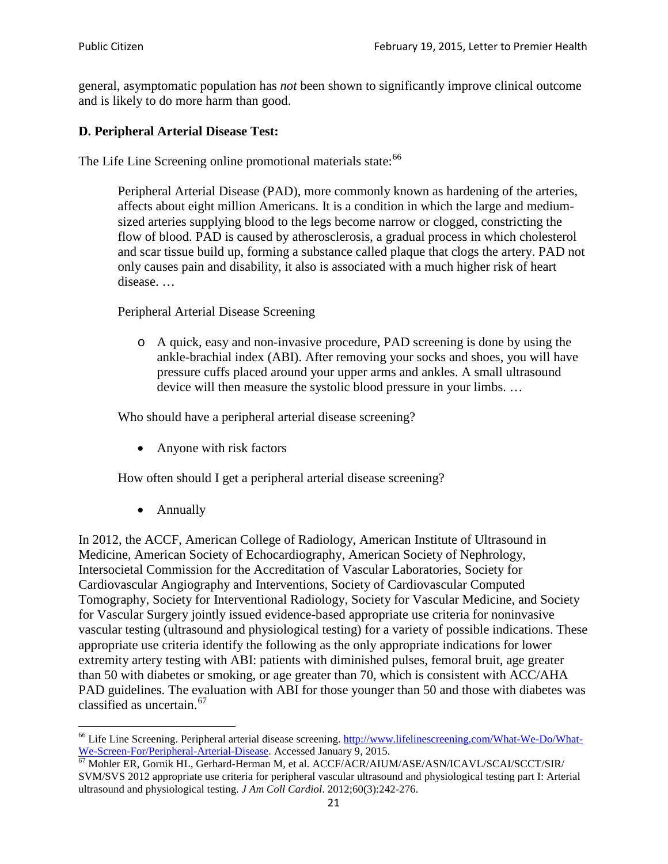general, asymptomatic population has *not* been shown to significantly improve clinical outcome and is likely to do more harm than good.

## **D. Peripheral Arterial Disease Test:**

The Life Line Screening online promotional materials state:<sup>[66](#page-20-0)</sup>

Peripheral Arterial Disease (PAD), more commonly known as hardening of the arteries, affects about eight million Americans. It is a condition in which the large and mediumsized arteries supplying blood to the legs become narrow or clogged, constricting the flow of blood. PAD is caused by atherosclerosis, a gradual process in which cholesterol and scar tissue build up, forming a substance called plaque that clogs the artery. PAD not only causes pain and disability, it also is associated with a much higher risk of heart disease. …

Peripheral Arterial Disease Screening

o A quick, easy and non-invasive procedure, PAD screening is done by using the ankle-brachial index (ABI). After removing your socks and shoes, you will have pressure cuffs placed around your upper arms and ankles. A small ultrasound device will then measure the systolic blood pressure in your limbs. …

Who should have a peripheral arterial disease screening?

• Anyone with risk factors

How often should I get a peripheral arterial disease screening?

• Annually

In 2012, the ACCF, American College of Radiology, American Institute of Ultrasound in Medicine, American Society of Echocardiography, American Society of Nephrology, Intersocietal Commission for the Accreditation of Vascular Laboratories, Society for Cardiovascular Angiography and Interventions, Society of Cardiovascular Computed Tomography, Society for Interventional Radiology, Society for Vascular Medicine, and Society for Vascular Surgery jointly issued evidence-based appropriate use criteria for noninvasive vascular testing (ultrasound and physiological testing) for a variety of possible indications. These appropriate use criteria identify the following as the only appropriate indications for lower extremity artery testing with ABI: patients with diminished pulses, femoral bruit, age greater than 50 with diabetes or smoking, or age greater than 70, which is consistent with ACC/AHA PAD guidelines. The evaluation with ABI for those younger than 50 and those with diabetes was classified as uncertain.<sup>[67](#page-20-1)</sup>

<span id="page-20-0"></span><sup>&</sup>lt;sup>66</sup> Life Line Screening. Peripheral arterial disease screening. [http://www.lifelinescreening.com/What-We-Do/What-](http://www.lifelinescreening.com/What-We-Do/What-We-Screen-For/Peripheral-Arterial-Disease)

<span id="page-20-1"></span>[We-Screen-For/Peripheral-Arterial-Disease.](http://www.lifelinescreening.com/What-We-Do/What-We-Screen-For/Peripheral-Arterial-Disease) Accessed January 9, 2015.<br><sup>67</sup> Mohler ER, Gornik HL, Gerhard-Herman M, et al. ACCF/ACR/AIUM/ASE/ASN/ICAVL/SCAI/SCCT/SIR/ SVM/SVS 2012 appropriate use criteria for peripheral vascular ultrasound and physiological testing part I: Arterial ultrasound and physiological testing. *J Am Coll Cardiol*. 2012;60(3):242-276.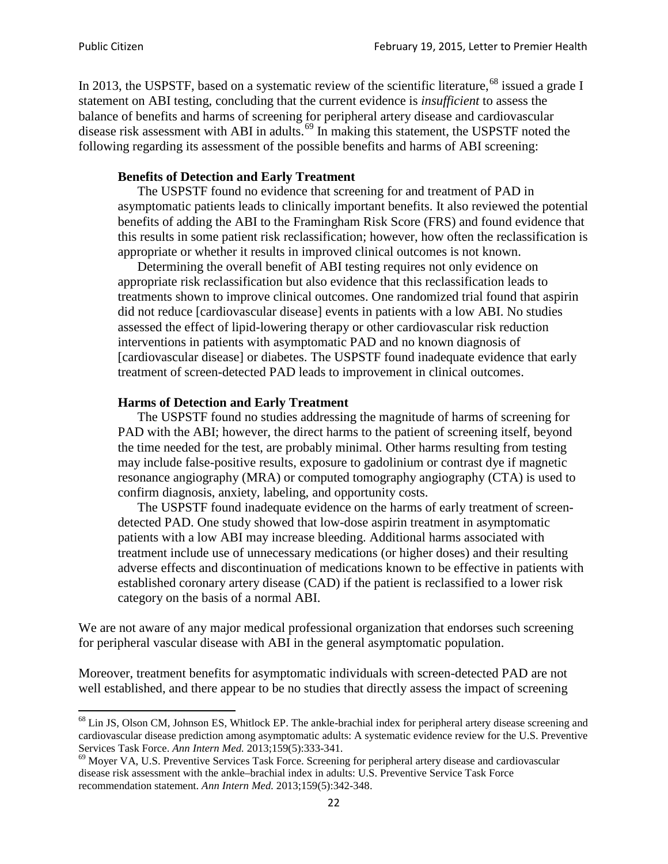In 2013, the USPSTF, based on a systematic review of the scientific literature,<sup>[68](#page-21-0)</sup> issued a grade I statement on ABI testing, concluding that the current evidence is *insufficient* to assess the balance of benefits and harms of screening for peripheral artery disease and cardiovascular disease risk assessment with ABI in adults.<sup>[69](#page-21-1)</sup> In making this statement, the USPSTF noted the following regarding its assessment of the possible benefits and harms of ABI screening:

#### **Benefits of Detection and Early Treatment**

The USPSTF found no evidence that screening for and treatment of PAD in asymptomatic patients leads to clinically important benefits. It also reviewed the potential benefits of adding the ABI to the Framingham Risk Score (FRS) and found evidence that this results in some patient risk reclassification; however, how often the reclassification is appropriate or whether it results in improved clinical outcomes is not known.

Determining the overall benefit of ABI testing requires not only evidence on appropriate risk reclassification but also evidence that this reclassification leads to treatments shown to improve clinical outcomes. One randomized trial found that aspirin did not reduce [cardiovascular disease] events in patients with a low ABI. No studies assessed the effect of lipid-lowering therapy or other cardiovascular risk reduction interventions in patients with asymptomatic PAD and no known diagnosis of [cardiovascular disease] or diabetes. The USPSTF found inadequate evidence that early treatment of screen-detected PAD leads to improvement in clinical outcomes.

#### **Harms of Detection and Early Treatment**

The USPSTF found no studies addressing the magnitude of harms of screening for PAD with the ABI; however, the direct harms to the patient of screening itself, beyond the time needed for the test, are probably minimal. Other harms resulting from testing may include false-positive results, exposure to gadolinium or contrast dye if magnetic resonance angiography (MRA) or computed tomography angiography (CTA) is used to confirm diagnosis, anxiety, labeling, and opportunity costs.

The USPSTF found inadequate evidence on the harms of early treatment of screendetected PAD. One study showed that low-dose aspirin treatment in asymptomatic patients with a low ABI may increase bleeding. Additional harms associated with treatment include use of unnecessary medications (or higher doses) and their resulting adverse effects and discontinuation of medications known to be effective in patients with established coronary artery disease (CAD) if the patient is reclassified to a lower risk category on the basis of a normal ABI.

We are not aware of any major medical professional organization that endorses such screening for peripheral vascular disease with ABI in the general asymptomatic population.

Moreover, treatment benefits for asymptomatic individuals with screen-detected PAD are not well established, and there appear to be no studies that directly assess the impact of screening

<span id="page-21-0"></span><sup>&</sup>lt;sup>68</sup> Lin JS, Olson CM, Johnson ES, Whitlock EP. The ankle-brachial index for peripheral artery disease screening and cardiovascular disease prediction among asymptomatic adults: A systematic evidence review for the U.S. Preventive Services Task Force. *Ann Intern Med.* 2013;159(5):333-341.<br><sup>69</sup> Moyer VA, U.S. Preventive Services Task Force. Screening for peripheral artery disease and cardiovascular

<span id="page-21-1"></span>disease risk assessment with the ankle–brachial index in adults: U.S. Preventive Service Task Force recommendation statement. *Ann Intern Med.* 2013;159(5):342-348.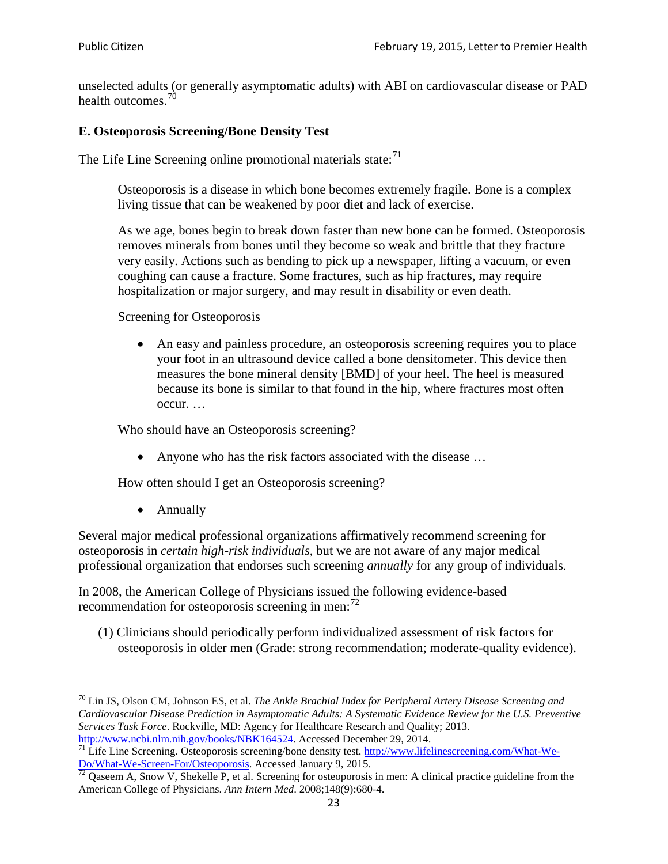unselected adults (or generally asymptomatic adults) with ABI on cardiovascular disease or PAD health outcomes.<sup>[70](#page-22-0)</sup>

#### **E. Osteoporosis Screening/Bone Density Test**

The Life Line Screening online promotional materials state: $<sup>71</sup>$  $<sup>71</sup>$  $<sup>71</sup>$ </sup>

Osteoporosis is a disease in which bone becomes extremely fragile. Bone is a complex living tissue that can be weakened by poor diet and lack of exercise.

As we age, bones begin to break down faster than new bone can be formed. Osteoporosis removes minerals from bones until they become so weak and brittle that they fracture very easily. Actions such as bending to pick up a newspaper, lifting a vacuum, or even coughing can cause a fracture. Some fractures, such as hip fractures, may require hospitalization or major surgery, and may result in disability or even death.

Screening for Osteoporosis

• An easy and painless procedure, an osteoporosis screening requires you to place your foot in an ultrasound device called a bone densitometer. This device then measures the bone mineral density [BMD] of your heel. The heel is measured because its bone is similar to that found in the hip, where fractures most often occur. …

Who should have an Osteoporosis screening?

• Anyone who has the risk factors associated with the disease ...

How often should I get an Osteoporosis screening?

• Annually

Several major medical professional organizations affirmatively recommend screening for osteoporosis in *certain high-risk individuals*, but we are not aware of any major medical professional organization that endorses such screening *annually* for any group of individuals.

In 2008, the American College of Physicians issued the following evidence-based recommendation for osteoporosis screening in men: $^{72}$  $^{72}$  $^{72}$ 

(1) Clinicians should periodically perform individualized assessment of risk factors for osteoporosis in older men (Grade: strong recommendation; moderate-quality evidence).

<span id="page-22-0"></span><sup>70</sup> [Lin JS,](http://www.ncbi.nlm.nih.gov/pubmed?term=Lin%20JS%5BAuthor%5D&cauthor=true&cauthor_uid=24156115) [Olson CM,](http://www.ncbi.nlm.nih.gov/pubmed?term=Olson%20CM%5BAuthor%5D&cauthor=true&cauthor_uid=24156115) [Johnson ES,](http://www.ncbi.nlm.nih.gov/pubmed?term=Johnson%20ES%5BAuthor%5D&cauthor=true&cauthor_uid=24156115) et al. *The Ankle Brachial Index for Peripheral Artery Disease Screening and Cardiovascular Disease Prediction in Asymptomatic Adults: A Systematic Evidence Review for the U.S. Preventive Services Task Force*. Rockville, MD: Agency for Healthcare Research and Quality; 2013.<br>http://www.ncbi.nlm.nih.gov/books/NBK164524. Accessed December 29, 2014.

<span id="page-22-1"></span> $\frac{1}{71}$  Life Line Screening. Osteoporosis screening/bone density test. [http://www.lifelinescreening.com/What-We-](http://www.lifelinescreening.com/What-We-Do/What-We-Screen-For/Osteoporosis)[Do/What-We-Screen-For/Osteoporosis.](http://www.lifelinescreening.com/What-We-Do/What-We-Screen-For/Osteoporosis) Accessed January 9, 2015. <sup>72</sup> Qaseem A, Snow V, Shekelle P, et al. Screening for osteoporosis in men: A clinical practice guideline from the

<span id="page-22-2"></span>American College of Physicians. *Ann Intern Med*. 2008;148(9):680-4.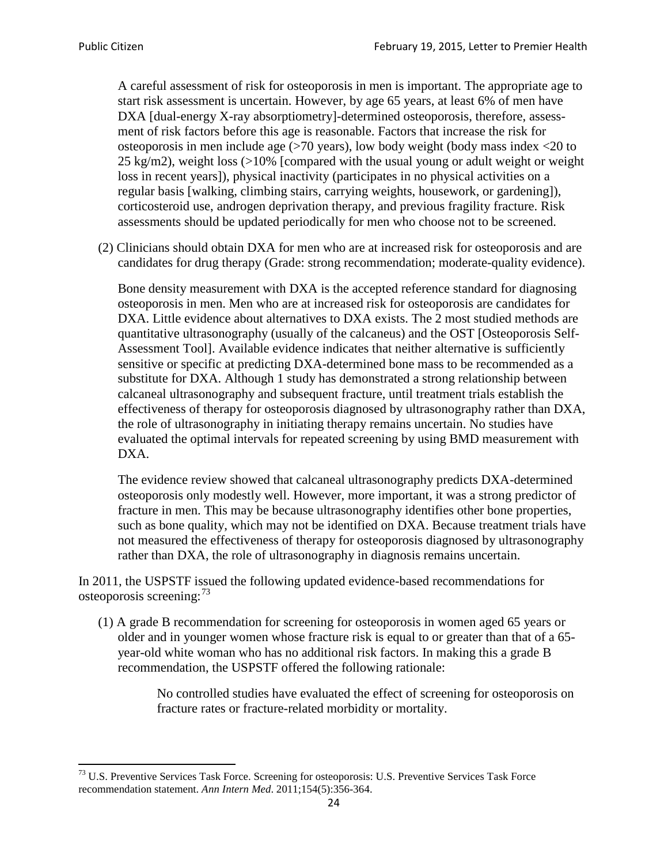A careful assessment of risk for osteoporosis in men is important. The appropriate age to start risk assessment is uncertain. However, by age 65 years, at least 6% of men have DXA [dual-energy X-ray absorptiometry]-determined osteoporosis, therefore, assessment of risk factors before this age is reasonable. Factors that increase the risk for osteoporosis in men include age (>70 years), low body weight (body mass index <20 to 25 kg/m2), weight loss  $\langle$  >10% [compared with the usual young or adult weight or weight loss in recent years]), physical inactivity (participates in no physical activities on a regular basis [walking, climbing stairs, carrying weights, housework, or gardening]), corticosteroid use, androgen deprivation therapy, and previous fragility fracture. Risk assessments should be updated periodically for men who choose not to be screened.

(2) Clinicians should obtain DXA for men who are at increased risk for osteoporosis and are candidates for drug therapy (Grade: strong recommendation; moderate-quality evidence).

Bone density measurement with DXA is the accepted reference standard for diagnosing osteoporosis in men. Men who are at increased risk for osteoporosis are candidates for DXA. Little evidence about alternatives to DXA exists. The 2 most studied methods are quantitative ultrasonography (usually of the calcaneus) and the OST [Osteoporosis Self-Assessment Tool]. Available evidence indicates that neither alternative is sufficiently sensitive or specific at predicting DXA-determined bone mass to be recommended as a substitute for DXA. Although 1 study has demonstrated a strong relationship between calcaneal ultrasonography and subsequent fracture, until treatment trials establish the effectiveness of therapy for osteoporosis diagnosed by ultrasonography rather than DXA, the role of ultrasonography in initiating therapy remains uncertain. No studies have evaluated the optimal intervals for repeated screening by using BMD measurement with DXA.

The evidence review showed that calcaneal ultrasonography predicts DXA-determined osteoporosis only modestly well. However, more important, it was a strong predictor of fracture in men. This may be because ultrasonography identifies other bone properties, such as bone quality, which may not be identified on DXA. Because treatment trials have not measured the effectiveness of therapy for osteoporosis diagnosed by ultrasonography rather than DXA, the role of ultrasonography in diagnosis remains uncertain.

In 2011, the USPSTF issued the following updated evidence-based recommendations for osteoporosis screening:<sup>[73](#page-23-0)</sup>

(1) A grade B recommendation for screening for osteoporosis in women aged 65 years or older and in younger women whose fracture risk is equal to or greater than that of a 65 year-old white woman who has no additional risk factors. In making this a grade B recommendation, the USPSTF offered the following rationale:

> No controlled studies have evaluated the effect of screening for osteoporosis on fracture rates or fracture-related morbidity or mortality.

<span id="page-23-0"></span><sup>&</sup>lt;sup>73</sup> U.S. Preventive Services Task Force. Screening for osteoporosis: U.S. Preventive Services Task Force recommendation statement. *Ann Intern Med*. 2011;154(5):356-364.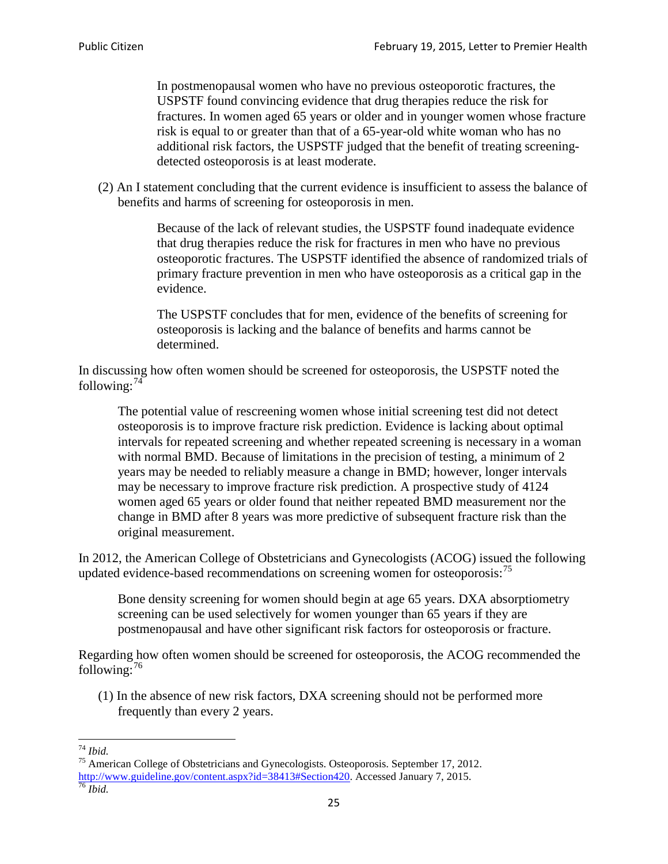In postmenopausal women who have no previous osteoporotic fractures, the USPSTF found convincing evidence that drug therapies reduce the risk for fractures. In women aged 65 years or older and in younger women whose fracture risk is equal to or greater than that of a 65-year-old white woman who has no additional risk factors, the USPSTF judged that the benefit of treating screeningdetected osteoporosis is at least moderate.

(2) An I statement concluding that the current evidence is insufficient to assess the balance of benefits and harms of screening for osteoporosis in men.

> Because of the lack of relevant studies, the USPSTF found inadequate evidence that drug therapies reduce the risk for fractures in men who have no previous osteoporotic fractures. The USPSTF identified the absence of randomized trials of primary fracture prevention in men who have osteoporosis as a critical gap in the evidence.

The USPSTF concludes that for men, evidence of the benefits of screening for osteoporosis is lacking and the balance of benefits and harms cannot be determined.

In discussing how often women should be screened for osteoporosis, the USPSTF noted the following: $74$ 

The potential value of rescreening women whose initial screening test did not detect osteoporosis is to improve fracture risk prediction. Evidence is lacking about optimal intervals for repeated screening and whether repeated screening is necessary in a woman with normal BMD. Because of limitations in the precision of testing, a minimum of 2 years may be needed to reliably measure a change in BMD; however, longer intervals may be necessary to improve fracture risk prediction. A prospective study of 4124 women aged 65 years or older found that neither repeated BMD measurement nor the change in BMD after 8 years was more predictive of subsequent fracture risk than the original measurement.

In 2012, the American College of Obstetricians and Gynecologists (ACOG) issued the following updated evidence-based recommendations on screening women for osteoporosis:<sup>[75](#page-24-1)</sup>

Bone density screening for women should begin at age 65 years. DXA absorptiometry screening can be used selectively for women younger than 65 years if they are postmenopausal and have other significant risk factors for osteoporosis or fracture.

Regarding how often women should be screened for osteoporosis, the ACOG recommended the following: $^{76}$  $^{76}$  $^{76}$ 

(1) In the absence of new risk factors, DXA screening should not be performed more frequently than every 2 years.

<span id="page-24-2"></span><span id="page-24-1"></span><span id="page-24-0"></span><sup>74</sup> *Ibid.* <sup>75</sup> American College of Obstetricians and Gynecologists. Osteoporosis. September 17, 2012. [http://www.guideline.gov/content.aspx?id=38413#Section420.](http://www.guideline.gov/content.aspx?id=38413#Section420) Accessed January 7, 2015.<br><sup>76</sup> *Ibid.*